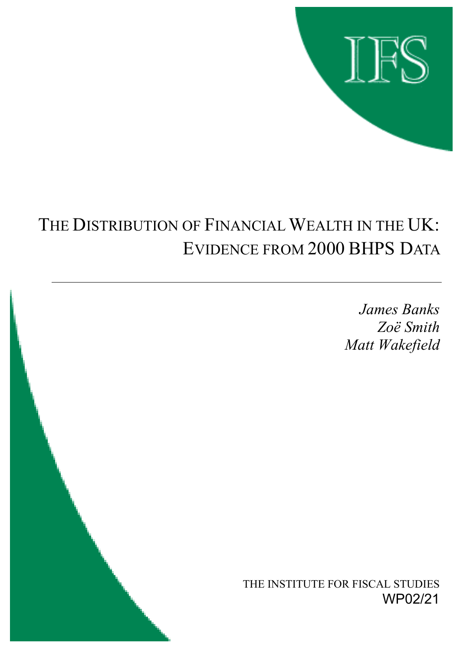

# THE DISTRIBUTION OF FINANCIAL WEALTH IN THE UK: EVIDENCE FROM 2000 BHPS DATA

*James Banks ZoÎ Smith Matt Wakefield*

THE INSTITUTE FOR FISCAL STUDIES WP02/21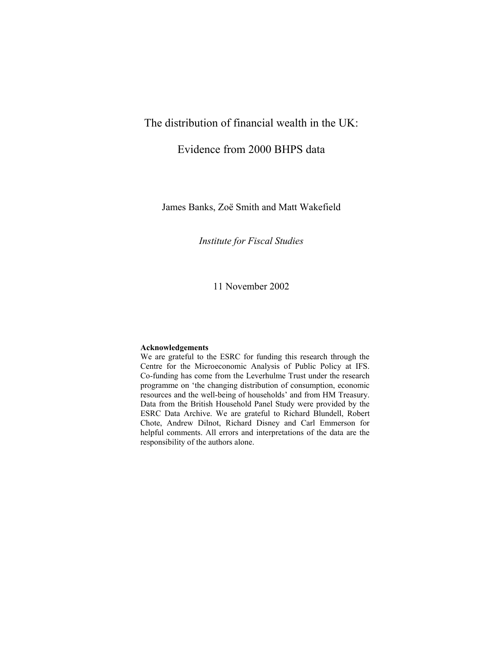## The distribution of financial wealth in the UK:

## Evidence from 2000 BHPS data

James Banks, Zoë Smith and Matt Wakefield

*Institute for Fiscal Studies* 

11 November 2002

#### **Acknowledgements**

We are grateful to the ESRC for funding this research through the Centre for the Microeconomic Analysis of Public Policy at IFS. Co-funding has come from the Leverhulme Trust under the research programme on 'the changing distribution of consumption, economic resources and the well-being of households' and from HM Treasury. Data from the British Household Panel Study were provided by the ESRC Data Archive. We are grateful to Richard Blundell, Robert Chote, Andrew Dilnot, Richard Disney and Carl Emmerson for helpful comments. All errors and interpretations of the data are the responsibility of the authors alone.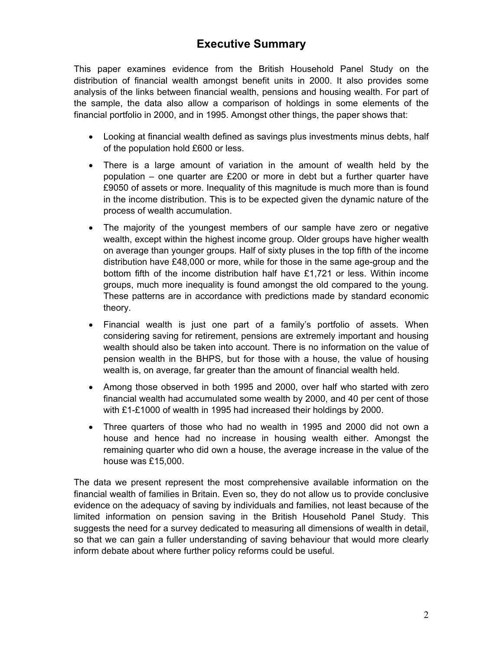## **Executive Summary**

This paper examines evidence from the British Household Panel Study on the distribution of financial wealth amongst benefit units in 2000. It also provides some analysis of the links between financial wealth, pensions and housing wealth. For part of the sample, the data also allow a comparison of holdings in some elements of the financial portfolio in 2000, and in 1995. Amongst other things, the paper shows that:

- Looking at financial wealth defined as savings plus investments minus debts, half of the population hold £600 or less.
- There is a large amount of variation in the amount of wealth held by the population – one quarter are £200 or more in debt but a further quarter have £9050 of assets or more. Inequality of this magnitude is much more than is found in the income distribution. This is to be expected given the dynamic nature of the process of wealth accumulation.
- The majority of the youngest members of our sample have zero or negative wealth, except within the highest income group. Older groups have higher wealth on average than younger groups. Half of sixty pluses in the top fifth of the income distribution have £48,000 or more, while for those in the same age-group and the bottom fifth of the income distribution half have £1,721 or less. Within income groups, much more inequality is found amongst the old compared to the young. These patterns are in accordance with predictions made by standard economic theory.
- Financial wealth is just one part of a family's portfolio of assets. When considering saving for retirement, pensions are extremely important and housing wealth should also be taken into account. There is no information on the value of pension wealth in the BHPS, but for those with a house, the value of housing wealth is, on average, far greater than the amount of financial wealth held.
- Among those observed in both 1995 and 2000, over half who started with zero financial wealth had accumulated some wealth by 2000, and 40 per cent of those with £1-£1000 of wealth in 1995 had increased their holdings by 2000.
- Three quarters of those who had no wealth in 1995 and 2000 did not own a house and hence had no increase in housing wealth either. Amongst the remaining quarter who did own a house, the average increase in the value of the house was £15,000.

The data we present represent the most comprehensive available information on the financial wealth of families in Britain. Even so, they do not allow us to provide conclusive evidence on the adequacy of saving by individuals and families, not least because of the limited information on pension saving in the British Household Panel Study. This suggests the need for a survey dedicated to measuring all dimensions of wealth in detail, so that we can gain a fuller understanding of saving behaviour that would more clearly inform debate about where further policy reforms could be useful.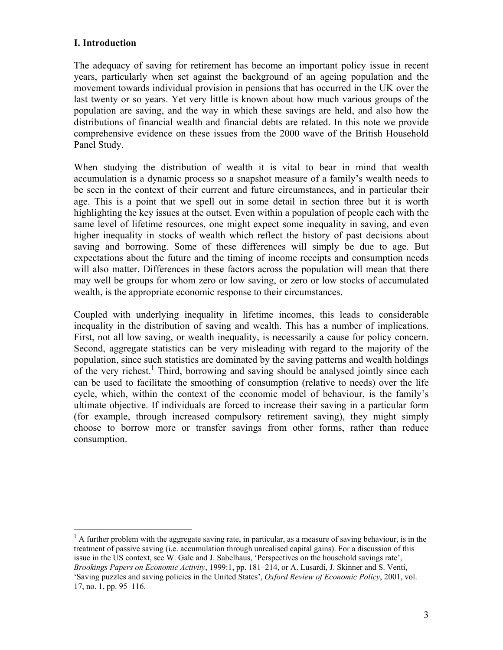## **I. Introduction**

1

The adequacy of saving for retirement has become an important policy issue in recent years, particularly when set against the background of an ageing population and the movement towards individual provision in pensions that has occurred in the UK over the last twenty or so years. Yet very little is known about how much various groups of the population are saving, and the way in which these savings are held, and also how the distributions of financial wealth and financial debts are related. In this note we provide comprehensive evidence on these issues from the 2000 wave of the British Household Panel Study.

When studying the distribution of wealth it is vital to bear in mind that wealth accumulation is a dynamic process so a snapshot measure of a family's wealth needs to be seen in the context of their current and future circumstances, and in particular their age. This is a point that we spell out in some detail in section three but it is worth highlighting the key issues at the outset. Even within a population of people each with the same level of lifetime resources, one might expect some inequality in saving, and even higher inequality in stocks of wealth which reflect the history of past decisions about saving and borrowing. Some of these differences will simply be due to age. But expectations about the future and the timing of income receipts and consumption needs will also matter. Differences in these factors across the population will mean that there may well be groups for whom zero or low saving, or zero or low stocks of accumulated wealth, is the appropriate economic response to their circumstances.

Coupled with underlying inequality in lifetime incomes, this leads to considerable inequality in the distribution of saving and wealth. This has a number of implications. First, not all low saving, or wealth inequality, is necessarily a cause for policy concern. Second, aggregate statistics can be very misleading with regard to the majority of the population, since such statistics are dominated by the saving patterns and wealth holdings of the very richest.<sup>1</sup> Third, borrowing and saving should be analysed jointly since each can be used to facilitate the smoothing of consumption (relative to needs) over the life cycle, which, within the context of the economic model of behaviour, is the family's ultimate objective. If individuals are forced to increase their saving in a particular form (for example, through increased compulsory retirement saving), they might simply choose to borrow more or transfer savings from other forms, rather than reduce consumption.

 $<sup>1</sup>$  A further problem with the aggregate saving rate, in particular, as a measure of saving behaviour, is in the</sup> treatment of passive saving (i.e. accumulation through unrealised capital gains). For a discussion of this issue in the US context, see W. Gale and J. Sabelhaus, 'Perspectives on the household savings rate', *Brookings Papers on Economic Activity*, 1999:1, pp. 181–214, or A. Lusardi, J. Skinner and S. Venti, 'Saving puzzles and saving policies in the United States', *Oxford Review of Economic Policy*, 2001, vol. 17, no. 1, pp. 95–116.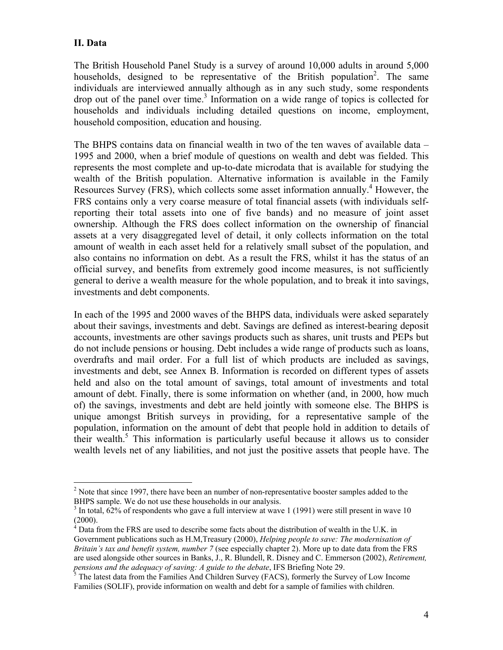## **II. Data**

The British Household Panel Study is a survey of around 10,000 adults in around 5,000 households, designed to be representative of the British population<sup>2</sup>. The same individuals are interviewed annually although as in any such study, some respondents drop out of the panel over time.<sup>3</sup> Information on a wide range of topics is collected for households and individuals including detailed questions on income, employment, household composition, education and housing.

The BHPS contains data on financial wealth in two of the ten waves of available data – 1995 and 2000, when a brief module of questions on wealth and debt was fielded. This represents the most complete and up-to-date microdata that is available for studying the wealth of the British population. Alternative information is available in the Family Resources Survey (FRS), which collects some asset information annually.<sup>4</sup> However, the FRS contains only a very coarse measure of total financial assets (with individuals selfreporting their total assets into one of five bands) and no measure of joint asset ownership. Although the FRS does collect information on the ownership of financial assets at a very disaggregated level of detail, it only collects information on the total amount of wealth in each asset held for a relatively small subset of the population, and also contains no information on debt. As a result the FRS, whilst it has the status of an official survey, and benefits from extremely good income measures, is not sufficiently general to derive a wealth measure for the whole population, and to break it into savings, investments and debt components.

In each of the 1995 and 2000 waves of the BHPS data, individuals were asked separately about their savings, investments and debt. Savings are defined as interest-bearing deposit accounts, investments are other savings products such as shares, unit trusts and PEPs but do not include pensions or housing. Debt includes a wide range of products such as loans, overdrafts and mail order. For a full list of which products are included as savings, investments and debt, see Annex B. Information is recorded on different types of assets held and also on the total amount of savings, total amount of investments and total amount of debt. Finally, there is some information on whether (and, in 2000, how much of) the savings, investments and debt are held jointly with someone else. The BHPS is unique amongst British surveys in providing, for a representative sample of the population, information on the amount of debt that people hold in addition to details of their wealth.<sup>5</sup> This information is particularly useful because it allows us to consider wealth levels net of any liabilities, and not just the positive assets that people have. The

 $\overline{a}$  $2^{2}$  Note that since 1997, there have been an number of non-representative booster samples added to the BHPS sample. We do not use these households in our analysis.

 $3$  In total, 62% of respondents who gave a full interview at wave 1 (1991) were still present in wave 10  $(2000)$ .<br><sup>4</sup> Deta fi

Data from the FRS are used to describe some facts about the distribution of wealth in the U.K. in Government publications such as H.M,Treasury (2000), *Helping people to save: The modernisation of Britain's tax and benefit system, number 7* (see especially chapter 2). More up to date data from the FRS are used alongside other sources in Banks, J., R. Blundell, R. Disney and C. Emmerson (2002), *Retirement, pensions and the adequacy of saving: A guide to the debate*, IFS Briefing Note 29.<br><sup>5</sup> The latest data from the Families And Children Survey (FACS), formerly the Survey of Low Income

Families (SOLIF), provide information on wealth and debt for a sample of families with children.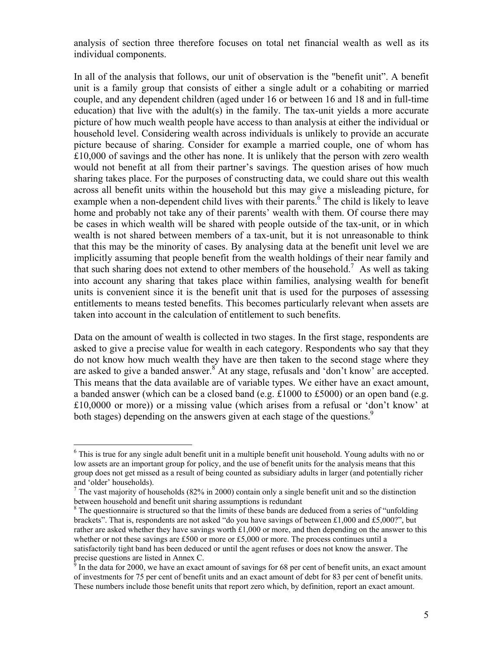analysis of section three therefore focuses on total net financial wealth as well as its individual components.

In all of the analysis that follows, our unit of observation is the "benefit unit". A benefit unit is a family group that consists of either a single adult or a cohabiting or married couple, and any dependent children (aged under 16 or between 16 and 18 and in full-time education) that live with the adult(s) in the family. The tax-unit yields a more accurate picture of how much wealth people have access to than analysis at either the individual or household level. Considering wealth across individuals is unlikely to provide an accurate picture because of sharing. Consider for example a married couple, one of whom has £10,000 of savings and the other has none. It is unlikely that the person with zero wealth would not benefit at all from their partner's savings. The question arises of how much sharing takes place. For the purposes of constructing data, we could share out this wealth across all benefit units within the household but this may give a misleading picture, for example when a non-dependent child lives with their parents.<sup>6</sup> The child is likely to leave home and probably not take any of their parents' wealth with them. Of course there may be cases in which wealth will be shared with people outside of the tax-unit, or in which wealth is not shared between members of a tax-unit, but it is not unreasonable to think that this may be the minority of cases. By analysing data at the benefit unit level we are implicitly assuming that people benefit from the wealth holdings of their near family and that such sharing does not extend to other members of the household.7 As well as taking into account any sharing that takes place within families, analysing wealth for benefit units is convenient since it is the benefit unit that is used for the purposes of assessing entitlements to means tested benefits. This becomes particularly relevant when assets are taken into account in the calculation of entitlement to such benefits.

Data on the amount of wealth is collected in two stages. In the first stage, respondents are asked to give a precise value for wealth in each category. Respondents who say that they do not know how much wealth they have are then taken to the second stage where they are asked to give a banded answer.<sup>8</sup> At any stage, refusals and 'don't know' are accepted. This means that the data available are of variable types. We either have an exact amount, a banded answer (which can be a closed band (e.g. £1000 to £5000) or an open band (e.g. £10,0000 or more)) or a missing value (which arises from a refusal or 'don't know' at both stages) depending on the answers given at each stage of the questions.<sup>9</sup>

 $\overline{a}$ 

<sup>&</sup>lt;sup>6</sup> This is true for any single adult benefit unit in a multiple benefit unit household. Young adults with no or low assets are an important group for policy, and the use of benefit units for the analysis means that this group does not get missed as a result of being counted as subsidiary adults in larger (and potentially richer and 'older' households).

<sup>&</sup>lt;sup>7</sup> The vast majority of households (82% in 2000) contain only a single benefit unit and so the distinction between household and benefit unit sharing assumptions is redundant

<sup>&</sup>lt;sup>8</sup> The questionnaire is structured so that the limits of these bands are deduced from a series of "unfolding" brackets". That is, respondents are not asked "do you have savings of between £1,000 and £5,000?", but rather are asked whether they have savings worth  $\pounds1,000$  or more, and then depending on the answer to this whether or not these savings are £500 or more or £5,000 or more. The process continues until a satisfactorily tight band has been deduced or until the agent refuses or does not know the answer. The precise questions are listed in Annex C.<br><sup>9</sup> In the data for 2000, we have an exact amount of savings for 68 per cent of benefit units, an exact amount

of investments for 75 per cent of benefit units and an exact amount of debt for 83 per cent of benefit units. These numbers include those benefit units that report zero which, by definition, report an exact amount.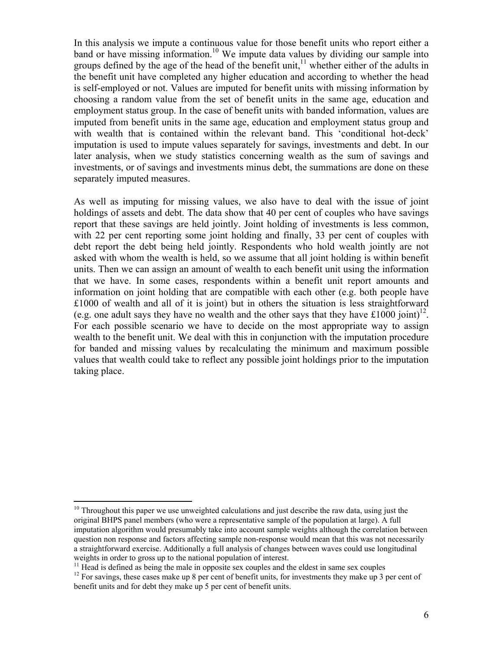In this analysis we impute a continuous value for those benefit units who report either a band or have missing information.<sup>10</sup> We impute data values by dividing our sample into groups defined by the age of the head of the benefit unit, $\frac{11}{11}$  whether either of the adults in the benefit unit have completed any higher education and according to whether the head is self-employed or not. Values are imputed for benefit units with missing information by choosing a random value from the set of benefit units in the same age, education and employment status group. In the case of benefit units with banded information, values are imputed from benefit units in the same age, education and employment status group and with wealth that is contained within the relevant band. This 'conditional hot-deck' imputation is used to impute values separately for savings, investments and debt. In our later analysis, when we study statistics concerning wealth as the sum of savings and investments, or of savings and investments minus debt, the summations are done on these separately imputed measures.

As well as imputing for missing values, we also have to deal with the issue of joint holdings of assets and debt. The data show that 40 per cent of couples who have savings report that these savings are held jointly. Joint holding of investments is less common, with 22 per cent reporting some joint holding and finally, 33 per cent of couples with debt report the debt being held jointly. Respondents who hold wealth jointly are not asked with whom the wealth is held, so we assume that all joint holding is within benefit units. Then we can assign an amount of wealth to each benefit unit using the information that we have. In some cases, respondents within a benefit unit report amounts and information on joint holding that are compatible with each other (e.g. both people have £1000 of wealth and all of it is joint) but in others the situation is less straightforward (e.g. one adult says they have no wealth and the other says that they have £1000 joint)<sup>12</sup>. For each possible scenario we have to decide on the most appropriate way to assign wealth to the benefit unit. We deal with this in conjunction with the imputation procedure for banded and missing values by recalculating the minimum and maximum possible values that wealth could take to reflect any possible joint holdings prior to the imputation taking place.

1

 $10$  Throughout this paper we use unweighted calculations and just describe the raw data, using just the original BHPS panel members (who were a representative sample of the population at large). A full imputation algorithm would presumably take into account sample weights although the correlation between question non response and factors affecting sample non-response would mean that this was not necessarily a straightforward exercise. Additionally a full analysis of changes between waves could use longitudinal weights in order to gross up to the national population of interest.

 $11$  Head is defined as being the male in opposite sex couples and the eldest in same sex couples

 $12$  For savings, these cases make up 8 per cent of benefit units, for investments they make up 3 per cent of benefit units and for debt they make up 5 per cent of benefit units.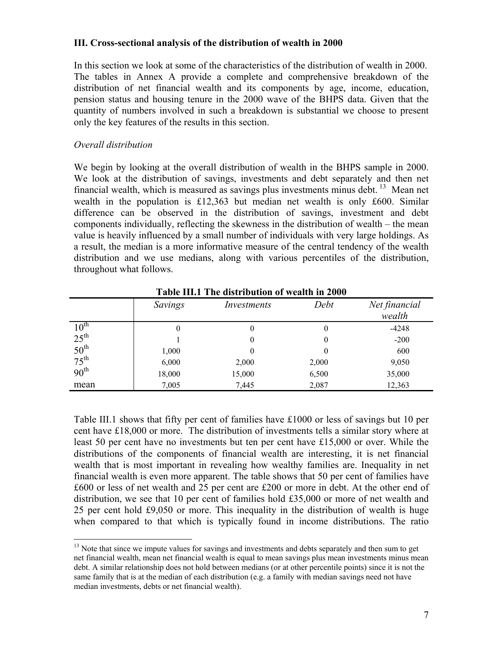## **III. Cross-sectional analysis of the distribution of wealth in 2000**

In this section we look at some of the characteristics of the distribution of wealth in 2000. The tables in Annex A provide a complete and comprehensive breakdown of the distribution of net financial wealth and its components by age, income, education, pension status and housing tenure in the 2000 wave of the BHPS data. Given that the quantity of numbers involved in such a breakdown is substantial we choose to present only the key features of the results in this section.

## *Overall distribution*

 $\overline{a}$ 

We begin by looking at the overall distribution of wealth in the BHPS sample in 2000. We look at the distribution of savings, investments and debt separately and then net financial wealth, which is measured as savings plus investments minus debt.  $13$  Mean net wealth in the population is £12,363 but median net wealth is only £600. Similar difference can be observed in the distribution of savings, investment and debt components individually, reflecting the skewness in the distribution of wealth – the mean value is heavily influenced by a small number of individuals with very large holdings. As a result, the median is a more informative measure of the central tendency of the wealth distribution and we use medians, along with various percentiles of the distribution, throughout what follows.

|                  |         | TADIC III.I THU UISU IDUUDII OI WUAHII III ZOOO |       |                         |
|------------------|---------|-------------------------------------------------|-------|-------------------------|
|                  | Savings | Investments                                     | Debt  | Net financial<br>wealth |
| $10^{\text{th}}$ | 0       |                                                 | 0     | $-4248$                 |
| $25^{\text{th}}$ |         |                                                 | 0     | $-200$                  |
| $50^{\text{th}}$ | 1,000   |                                                 | 0     | 600                     |
| $75^{\text{th}}$ | 6,000   | 2,000                                           | 2,000 | 9,050                   |
| 90 <sup>th</sup> | 18,000  | 15,000                                          | 6,500 | 35,000                  |
| mean             | 7,005   | 7,445                                           | 2,087 | 12,363                  |

**Table III.1 The distribution of wealth in 2000** 

Table III.1 shows that fifty per cent of families have £1000 or less of savings but 10 per cent have £18,000 or more. The distribution of investments tells a similar story where at least 50 per cent have no investments but ten per cent have £15,000 or over. While the distributions of the components of financial wealth are interesting, it is net financial wealth that is most important in revealing how wealthy families are. Inequality in net financial wealth is even more apparent. The table shows that 50 per cent of families have £600 or less of net wealth and 25 per cent are £200 or more in debt. At the other end of distribution, we see that 10 per cent of families hold £35,000 or more of net wealth and 25 per cent hold £9,050 or more. This inequality in the distribution of wealth is huge when compared to that which is typically found in income distributions. The ratio

<sup>&</sup>lt;sup>13</sup> Note that since we impute values for savings and investments and debts separately and then sum to get net financial wealth, mean net financial wealth is equal to mean savings plus mean investments minus mean debt. A similar relationship does not hold between medians (or at other percentile points) since it is not the same family that is at the median of each distribution (e.g. a family with median savings need not have median investments, debts or net financial wealth).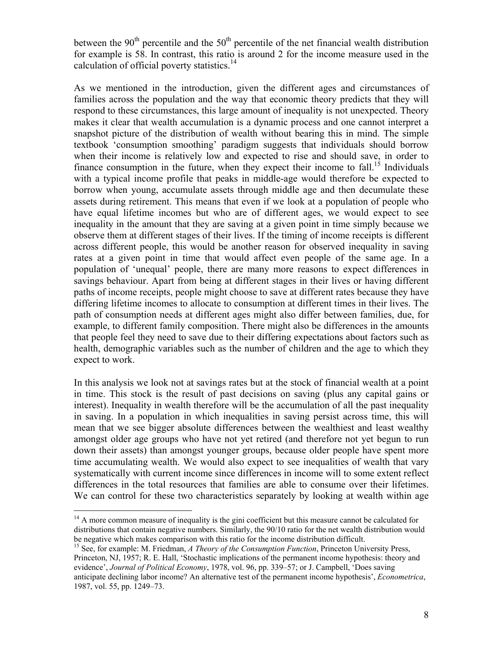between the  $90<sup>th</sup>$  percentile and the  $50<sup>th</sup>$  percentile of the net financial wealth distribution for example is 58. In contrast, this ratio is around 2 for the income measure used in the calculation of official poverty statistics. $14$ 

As we mentioned in the introduction, given the different ages and circumstances of families across the population and the way that economic theory predicts that they will respond to these circumstances, this large amount of inequality is not unexpected. Theory makes it clear that wealth accumulation is a dynamic process and one cannot interpret a snapshot picture of the distribution of wealth without bearing this in mind. The simple textbook 'consumption smoothing' paradigm suggests that individuals should borrow when their income is relatively low and expected to rise and should save, in order to finance consumption in the future, when they expect their income to fall.<sup>15</sup> Individuals with a typical income profile that peaks in middle-age would therefore be expected to borrow when young, accumulate assets through middle age and then decumulate these assets during retirement. This means that even if we look at a population of people who have equal lifetime incomes but who are of different ages, we would expect to see inequality in the amount that they are saving at a given point in time simply because we observe them at different stages of their lives. If the timing of income receipts is different across different people, this would be another reason for observed inequality in saving rates at a given point in time that would affect even people of the same age. In a population of 'unequal' people, there are many more reasons to expect differences in savings behaviour. Apart from being at different stages in their lives or having different paths of income receipts, people might choose to save at different rates because they have differing lifetime incomes to allocate to consumption at different times in their lives. The path of consumption needs at different ages might also differ between families, due, for example, to different family composition. There might also be differences in the amounts that people feel they need to save due to their differing expectations about factors such as health, demographic variables such as the number of children and the age to which they expect to work.

In this analysis we look not at savings rates but at the stock of financial wealth at a point in time. This stock is the result of past decisions on saving (plus any capital gains or interest). Inequality in wealth therefore will be the accumulation of all the past inequality in saving. In a population in which inequalities in saving persist across time, this will mean that we see bigger absolute differences between the wealthiest and least wealthy amongst older age groups who have not yet retired (and therefore not yet begun to run down their assets) than amongst younger groups, because older people have spent more time accumulating wealth. We would also expect to see inequalities of wealth that vary systematically with current income since differences in income will to some extent reflect differences in the total resources that families are able to consume over their lifetimes. We can control for these two characteristics separately by looking at wealth within age

 $\overline{a}$ 

<sup>&</sup>lt;sup>14</sup> A more common measure of inequality is the gini coefficient but this measure cannot be calculated for distributions that contain negative numbers. Similarly, the 90/10 ratio for the net wealth distribution would be negative which makes comparison with this ratio for the income distribution difficult.

<sup>&</sup>lt;sup>15</sup> See, for example: M. Friedman, *A Theory of the Consumption Function*, Princeton University Press, Princeton, NJ, 1957; R. E. Hall, 'Stochastic implications of the permanent income hypothesis: theory and evidence', *Journal of Political Economy*, 1978, vol. 96, pp. 339–57; or J. Campbell, 'Does saving anticipate declining labor income? An alternative test of the permanent income hypothesis', *Econometrica*, 1987, vol. 55, pp. 1249–73.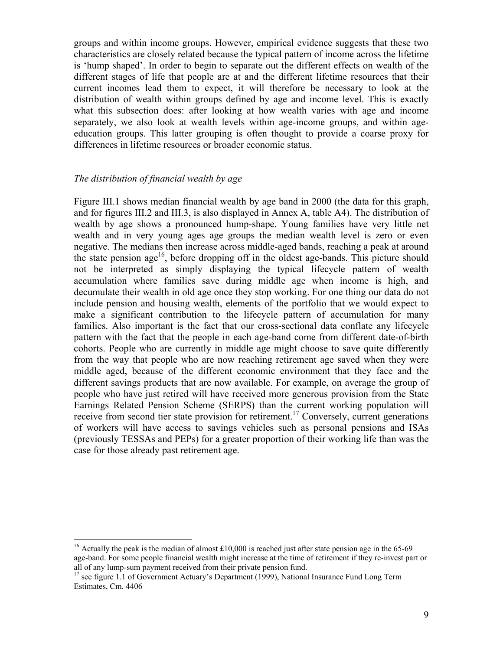groups and within income groups. However, empirical evidence suggests that these two characteristics are closely related because the typical pattern of income across the lifetime is 'hump shaped'. In order to begin to separate out the different effects on wealth of the different stages of life that people are at and the different lifetime resources that their current incomes lead them to expect, it will therefore be necessary to look at the distribution of wealth within groups defined by age and income level. This is exactly what this subsection does: after looking at how wealth varies with age and income separately, we also look at wealth levels within age-income groups, and within ageeducation groups. This latter grouping is often thought to provide a coarse proxy for differences in lifetime resources or broader economic status.

## *The distribution of financial wealth by age*

 $\overline{a}$ 

Figure III.1 shows median financial wealth by age band in 2000 (the data for this graph, and for figures III.2 and III.3, is also displayed in Annex A, table A4). The distribution of wealth by age shows a pronounced hump-shape. Young families have very little net wealth and in very young ages age groups the median wealth level is zero or even negative. The medians then increase across middle-aged bands, reaching a peak at around the state pension age<sup>16</sup>, before dropping off in the oldest age-bands. This picture should not be interpreted as simply displaying the typical lifecycle pattern of wealth accumulation where families save during middle age when income is high, and decumulate their wealth in old age once they stop working. For one thing our data do not include pension and housing wealth, elements of the portfolio that we would expect to make a significant contribution to the lifecycle pattern of accumulation for many families. Also important is the fact that our cross-sectional data conflate any lifecycle pattern with the fact that the people in each age-band come from different date-of-birth cohorts. People who are currently in middle age might choose to save quite differently from the way that people who are now reaching retirement age saved when they were middle aged, because of the different economic environment that they face and the different savings products that are now available. For example, on average the group of people who have just retired will have received more generous provision from the State Earnings Related Pension Scheme (SERPS) than the current working population will receive from second tier state provision for retirement.<sup>17</sup> Conversely, current generations of workers will have access to savings vehicles such as personal pensions and ISAs (previously TESSAs and PEPs) for a greater proportion of their working life than was the case for those already past retirement age.

<sup>&</sup>lt;sup>16</sup> Actually the peak is the median of almost  $\text{\pounds}10,000$  is reached just after state pension age in the 65-69 age-band. For some people financial wealth might increase at the time of retirement if they re-invest part or all of any lump-sum payment received from their private pension fund. 17 see figure 1.1 of Government Actuary's Department (1999), National Insurance Fund Long Term

Estimates, Cm. 4406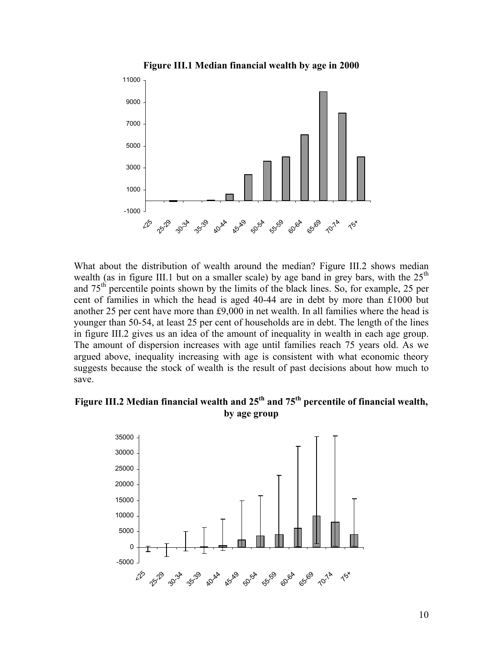

What about the distribution of wealth around the median? Figure III.2 shows median wealth (as in figure III.1 but on a smaller scale) by age band in grey bars, with the  $25<sup>th</sup>$ and  $75<sup>th</sup>$  percentile points shown by the limits of the black lines. So, for example, 25 per cent of families in which the head is aged 40-44 are in debt by more than £1000 but another 25 per cent have more than £9,000 in net wealth. In all families where the head is younger than 50-54, at least 25 per cent of households are in debt. The length of the lines in figure III.2 gives us an idea of the amount of inequality in wealth in each age group. The amount of dispersion increases with age until families reach 75 years old. As we argued above, inequality increasing with age is consistent with what economic theory suggests because the stock of wealth is the result of past decisions about how much to save.

## **Figure III.2 Median financial wealth and 25th and 75th percentile of financial wealth, by age group**

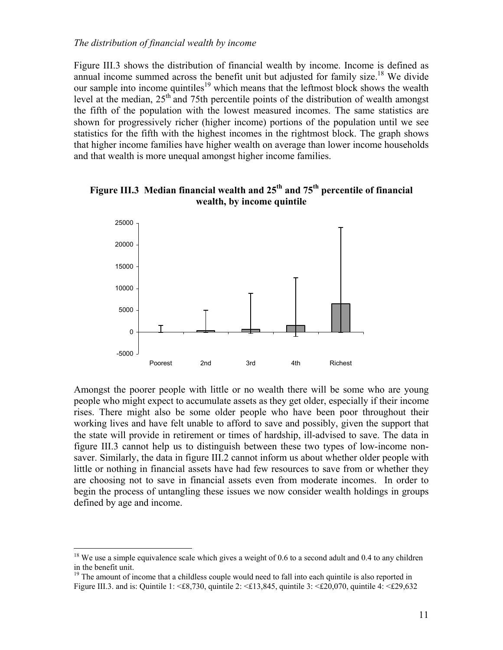Figure III.3 shows the distribution of financial wealth by income. Income is defined as annual income summed across the benefit unit but adjusted for family size.<sup>18</sup> We divide our sample into income quintiles<sup>19</sup> which means that the leftmost block shows the wealth level at the median,  $25<sup>th</sup>$  and 75th percentile points of the distribution of wealth amongst the fifth of the population with the lowest measured incomes. The same statistics are shown for progressively richer (higher income) portions of the population until we see statistics for the fifth with the highest incomes in the rightmost block. The graph shows that higher income families have higher wealth on average than lower income households and that wealth is more unequal amongst higher income families.



**Figure III.3 Median financial wealth and 25th and 75th percentile of financial wealth, by income quintile** 

Amongst the poorer people with little or no wealth there will be some who are young people who might expect to accumulate assets as they get older, especially if their income rises. There might also be some older people who have been poor throughout their working lives and have felt unable to afford to save and possibly, given the support that the state will provide in retirement or times of hardship, ill-advised to save. The data in figure III.3 cannot help us to distinguish between these two types of low-income nonsaver. Similarly, the data in figure III.2 cannot inform us about whether older people with little or nothing in financial assets have had few resources to save from or whether they are choosing not to save in financial assets even from moderate incomes. In order to begin the process of untangling these issues we now consider wealth holdings in groups defined by age and income.

 $\overline{a}$ 

<sup>&</sup>lt;sup>18</sup> We use a simple equivalence scale which gives a weight of 0.6 to a second adult and 0.4 to any children in the benefit unit.

 $19$  The amount of income that a childless couple would need to fall into each quintile is also reported in Figure III.3. and is: Quintile 1:  $\leq$  £8,730, quintile 2:  $\leq$  £13,845, quintile 3:  $\leq$  £20,070, quintile 4:  $\leq$  £29,632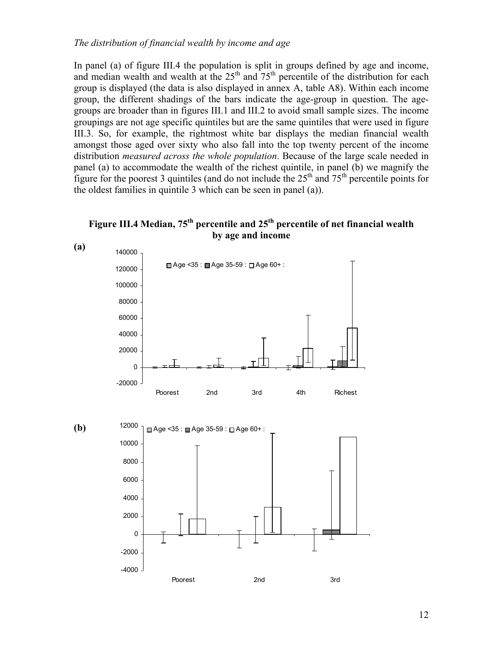## *The distribution of financial wealth by income and age*

In panel (a) of figure III.4 the population is split in groups defined by age and income, and median wealth and wealth at the  $25<sup>th</sup>$  and  $75<sup>th</sup>$  percentile of the distribution for each group is displayed (the data is also displayed in annex A, table A8). Within each income group, the different shadings of the bars indicate the age-group in question. The agegroups are broader than in figures III.1 and III.2 to avoid small sample sizes. The income groupings are not age specific quintiles but are the same quintiles that were used in figure III.3. So, for example, the rightmost white bar displays the median financial wealth amongst those aged over sixty who also fall into the top twenty percent of the income distribution *measured across the whole population*. Because of the large scale needed in panel (a) to accommodate the wealth of the richest quintile, in panel (b) we magnify the figure for the poorest 3 quintiles (and do not include the  $25<sup>th</sup>$  and  $75<sup>th</sup>$  percentile points for the oldest families in quintile 3 which can be seen in panel (a)).

## Figure III.4 Median, 75<sup>th</sup> percentile and 25<sup>th</sup> percentile of net financial wealth **by age and income**

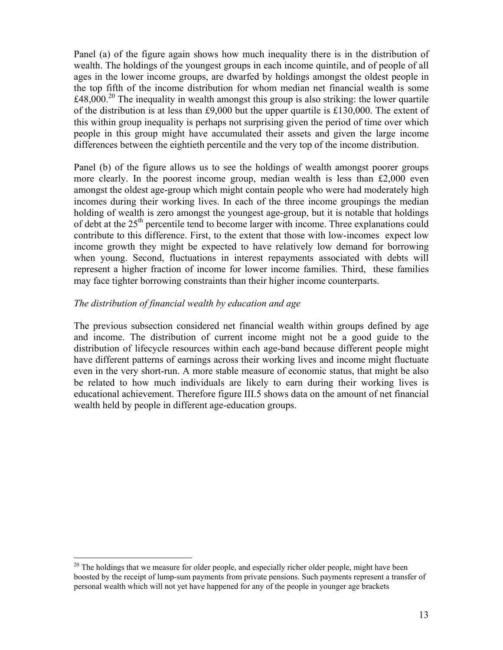Panel (a) of the figure again shows how much inequality there is in the distribution of wealth. The holdings of the youngest groups in each income quintile, and of people of all ages in the lower income groups, are dwarfed by holdings amongst the oldest people in the top fifth of the income distribution for whom median net financial wealth is some  $\text{\pounds}48,000$ <sup>20</sup> The inequality in wealth amongst this group is also striking: the lower quartile of the distribution is at less than £9,000 but the upper quartile is £130,000. The extent of this within group inequality is perhaps not surprising given the period of time over which people in this group might have accumulated their assets and given the large income differences between the eightieth percentile and the very top of the income distribution.

Panel (b) of the figure allows us to see the holdings of wealth amongst poorer groups more clearly. In the poorest income group, median wealth is less than £2,000 even amongst the oldest age-group which might contain people who were had moderately high incomes during their working lives. In each of the three income groupings the median holding of wealth is zero amongst the youngest age-group, but it is notable that holdings of debt at the 25<sup>th</sup> percentile tend to become larger with income. Three explanations could contribute to this difference. First, to the extent that those with low-incomes expect low income growth they might be expected to have relatively low demand for borrowing when young. Second, fluctuations in interest repayments associated with debts will represent a higher fraction of income for lower income families. Third, these families may face tighter borrowing constraints than their higher income counterparts.

## *The distribution of financial wealth by education and age*

 $\overline{a}$ 

The previous subsection considered net financial wealth within groups defined by age and income. The distribution of current income might not be a good guide to the distribution of lifecycle resources within each age-band because different people might have different patterns of earnings across their working lives and income might fluctuate even in the very short-run. A more stable measure of economic status, that might be also be related to how much individuals are likely to earn during their working lives is educational achievement. Therefore figure III.5 shows data on the amount of net financial wealth held by people in different age-education groups.

 $20$  The holdings that we measure for older people, and especially richer older people, might have been boosted by the receipt of lump-sum payments from private pensions. Such payments represent a transfer of personal wealth which will not yet have happened for any of the people in younger age brackets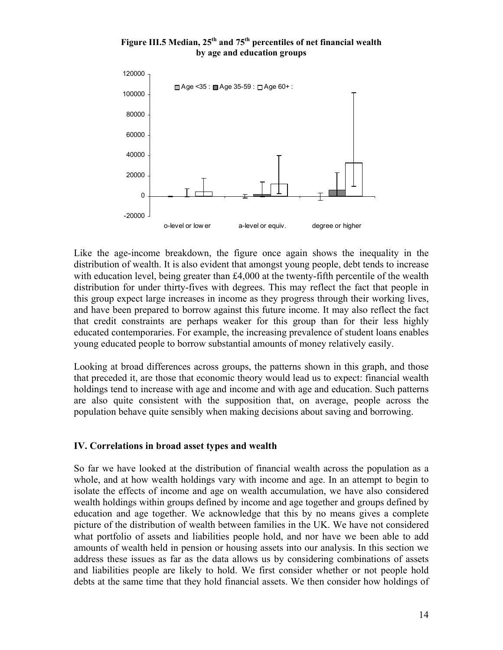## Figure III.5 Median, 25<sup>th</sup> and 75<sup>th</sup> percentiles of net financial wealth **by age and education groups**



Like the age-income breakdown, the figure once again shows the inequality in the distribution of wealth. It is also evident that amongst young people, debt tends to increase with education level, being greater than £4,000 at the twenty-fifth percentile of the wealth distribution for under thirty-fives with degrees. This may reflect the fact that people in this group expect large increases in income as they progress through their working lives, and have been prepared to borrow against this future income. It may also reflect the fact that credit constraints are perhaps weaker for this group than for their less highly educated contemporaries. For example, the increasing prevalence of student loans enables young educated people to borrow substantial amounts of money relatively easily.

Looking at broad differences across groups, the patterns shown in this graph, and those that preceded it, are those that economic theory would lead us to expect: financial wealth holdings tend to increase with age and income and with age and education. Such patterns are also quite consistent with the supposition that, on average, people across the population behave quite sensibly when making decisions about saving and borrowing.

## **IV. Correlations in broad asset types and wealth**

So far we have looked at the distribution of financial wealth across the population as a whole, and at how wealth holdings vary with income and age. In an attempt to begin to isolate the effects of income and age on wealth accumulation, we have also considered wealth holdings within groups defined by income and age together and groups defined by education and age together. We acknowledge that this by no means gives a complete picture of the distribution of wealth between families in the UK. We have not considered what portfolio of assets and liabilities people hold, and nor have we been able to add amounts of wealth held in pension or housing assets into our analysis. In this section we address these issues as far as the data allows us by considering combinations of assets and liabilities people are likely to hold. We first consider whether or not people hold debts at the same time that they hold financial assets. We then consider how holdings of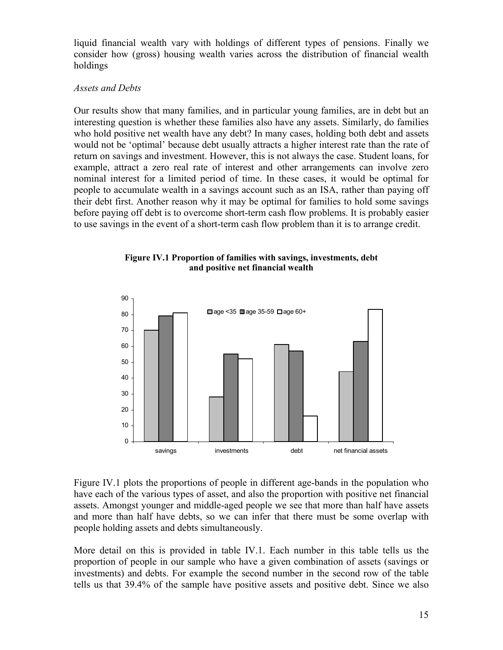liquid financial wealth vary with holdings of different types of pensions. Finally we consider how (gross) housing wealth varies across the distribution of financial wealth holdings

## *Assets and Debts*

Our results show that many families, and in particular young families, are in debt but an interesting question is whether these families also have any assets. Similarly, do families who hold positive net wealth have any debt? In many cases, holding both debt and assets would not be 'optimal' because debt usually attracts a higher interest rate than the rate of return on savings and investment. However, this is not always the case. Student loans, for example, attract a zero real rate of interest and other arrangements can involve zero nominal interest for a limited period of time. In these cases, it would be optimal for people to accumulate wealth in a savings account such as an ISA, rather than paying off their debt first. Another reason why it may be optimal for families to hold some savings before paying off debt is to overcome short-term cash flow problems. It is probably easier to use savings in the event of a short-term cash flow problem than it is to arrange credit.





Figure IV.1 plots the proportions of people in different age-bands in the population who have each of the various types of asset, and also the proportion with positive net financial assets. Amongst younger and middle-aged people we see that more than half have assets and more than half have debts, so we can infer that there must be some overlap with people holding assets and debts simultaneously.

More detail on this is provided in table IV.1. Each number in this table tells us the proportion of people in our sample who have a given combination of assets (savings or investments) and debts. For example the second number in the second row of the table tells us that 39.4% of the sample have positive assets and positive debt. Since we also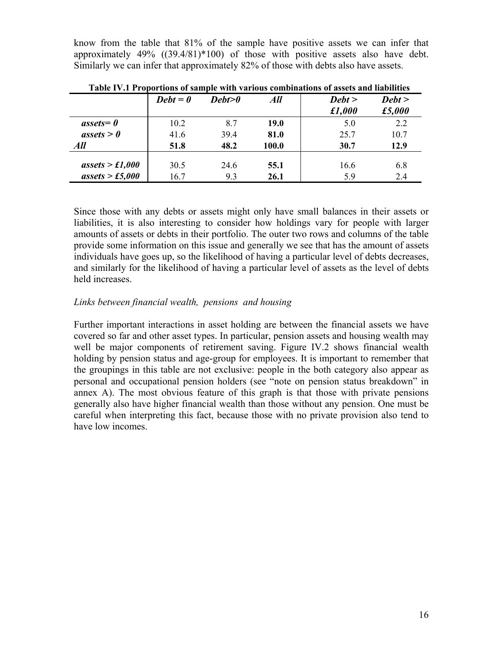know from the table that 81% of the sample have positive assets we can infer that approximately 49% ((39.4/81)\*100) of those with positive assets also have debt. Similarly we can infer that approximately 82% of those with debts also have assets.

|                       | $Debt = 0$ | Debt>0 | All         | Debt > | Debt > |
|-----------------------|------------|--------|-------------|--------|--------|
|                       |            |        |             | £1,000 | £5,000 |
| $\textit{assets} = 0$ | 10.2       | 8.7    | <b>19.0</b> | 5.0    | 2.2    |
| assets > 0            | 41.6       | 39.4   | 81.0        | 25.7   | 10.7   |
| All                   | 51.8       | 48.2   | 100.0       | 30.7   | 12.9   |
| assets > £1,000       | 30.5       | 24.6   | 55.1        | 16.6   | 6.8    |
| assets > £5,000       | 16.7       | 9.3    | 26.1        | 5.9    | 2.4    |

**Table IV.1 Proportions of sample with various combinations of assets and liabilities** 

Since those with any debts or assets might only have small balances in their assets or liabilities, it is also interesting to consider how holdings vary for people with larger amounts of assets or debts in their portfolio. The outer two rows and columns of the table provide some information on this issue and generally we see that has the amount of assets individuals have goes up, so the likelihood of having a particular level of debts decreases, and similarly for the likelihood of having a particular level of assets as the level of debts held increases.

## *Links between financial wealth, pensions and housing*

Further important interactions in asset holding are between the financial assets we have covered so far and other asset types. In particular, pension assets and housing wealth may well be major components of retirement saving. Figure IV.2 shows financial wealth holding by pension status and age-group for employees. It is important to remember that the groupings in this table are not exclusive: people in the both category also appear as personal and occupational pension holders (see "note on pension status breakdown" in annex A). The most obvious feature of this graph is that those with private pensions generally also have higher financial wealth than those without any pension. One must be careful when interpreting this fact, because those with no private provision also tend to have low incomes.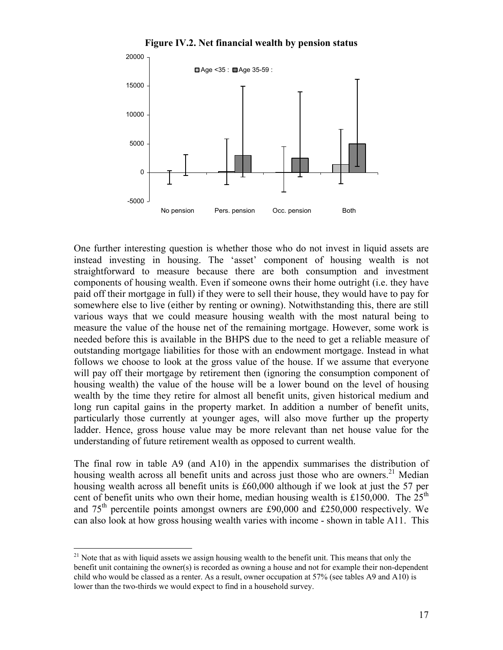

One further interesting question is whether those who do not invest in liquid assets are instead investing in housing. The 'asset' component of housing wealth is not straightforward to measure because there are both consumption and investment components of housing wealth. Even if someone owns their home outright (i.e. they have paid off their mortgage in full) if they were to sell their house, they would have to pay for somewhere else to live (either by renting or owning). Notwithstanding this, there are still various ways that we could measure housing wealth with the most natural being to measure the value of the house net of the remaining mortgage. However, some work is needed before this is available in the BHPS due to the need to get a reliable measure of outstanding mortgage liabilities for those with an endowment mortgage. Instead in what follows we choose to look at the gross value of the house. If we assume that everyone will pay off their mortgage by retirement then (ignoring the consumption component of housing wealth) the value of the house will be a lower bound on the level of housing wealth by the time they retire for almost all benefit units, given historical medium and long run capital gains in the property market. In addition a number of benefit units, particularly those currently at younger ages, will also move further up the property ladder. Hence, gross house value may be more relevant than net house value for the understanding of future retirement wealth as opposed to current wealth.

The final row in table A9 (and A10) in the appendix summarises the distribution of housing wealth across all benefit units and across just those who are owners.<sup>21</sup> Median housing wealth across all benefit units is £60,000 although if we look at just the 57 per cent of benefit units who own their home, median housing wealth is £150,000. The  $25<sup>th</sup>$ and  $75<sup>th</sup>$  percentile points amongst owners are £90,000 and £250,000 respectively. We can also look at how gross housing wealth varies with income - shown in table A11. This

 $\overline{a}$ 

 $21$  Note that as with liquid assets we assign housing wealth to the benefit unit. This means that only the benefit unit containing the owner(s) is recorded as owning a house and not for example their non-dependent child who would be classed as a renter. As a result, owner occupation at 57% (see tables A9 and A10) is lower than the two-thirds we would expect to find in a household survey.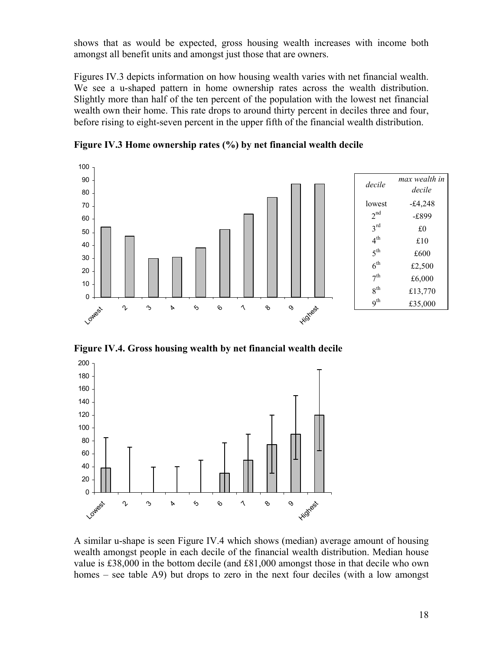shows that as would be expected, gross housing wealth increases with income both amongst all benefit units and amongst just those that are owners.

Figures IV.3 depicts information on how housing wealth varies with net financial wealth. We see a u-shaped pattern in home ownership rates across the wealth distribution. Slightly more than half of the ten percent of the population with the lowest net financial wealth own their home. This rate drops to around thirty percent in deciles three and four, before rising to eight-seven percent in the upper fifth of the financial wealth distribution.

0 10 20 30 40 50 60 70 80 90 100 Lowest  $\sim$  $\mathfrak{S}$ 4 $\mathbf{\hat{S}}$ 6 $\gamma$  $\delta$  $\mathcal{O}$ **Highest** *decile max wealth in decile* lowest  $-£4,248$  $2<sup>nd</sup>$  -£899  $3^{\text{rd}}$  £0  $4^{\text{th}}$  £10  $5^{\text{th}}$  £600  $6^{th}$  £2,500  $7^{\text{th}}$  £6,000 8<sup>th</sup> £13,770 9<sup>th</sup> £35,000

**Figure IV.3 Home ownership rates (%) by net financial wealth decile** 

**Figure IV.4. Gross housing wealth by net financial wealth decile** 



A similar u-shape is seen Figure IV.4 which shows (median) average amount of housing wealth amongst people in each decile of the financial wealth distribution. Median house value is £38,000 in the bottom decile (and £81,000 amongst those in that decile who own homes – see table A9) but drops to zero in the next four deciles (with a low amongst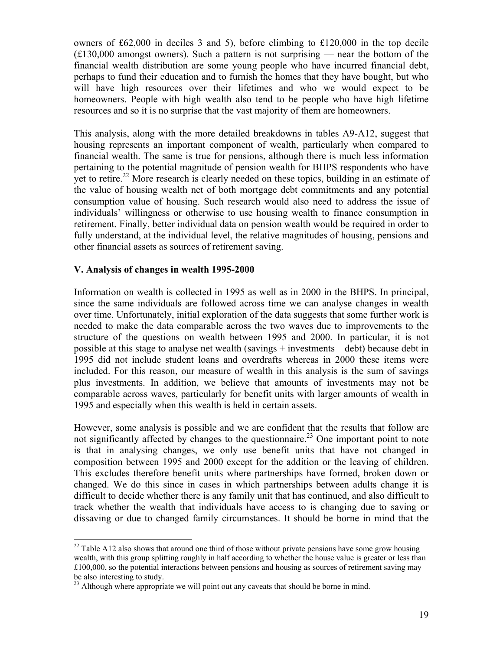owners of £62,000 in deciles 3 and 5), before climbing to £120,000 in the top decile (£130,000 amongst owners). Such a pattern is not surprising — near the bottom of the financial wealth distribution are some young people who have incurred financial debt, perhaps to fund their education and to furnish the homes that they have bought, but who will have high resources over their lifetimes and who we would expect to be homeowners. People with high wealth also tend to be people who have high lifetime resources and so it is no surprise that the vast majority of them are homeowners.

This analysis, along with the more detailed breakdowns in tables A9-A12, suggest that housing represents an important component of wealth, particularly when compared to financial wealth. The same is true for pensions, although there is much less information pertaining to the potential magnitude of pension wealth for BHPS respondents who have yet to retire.<sup>22</sup> More research is clearly needed on these topics, building in an estimate of the value of housing wealth net of both mortgage debt commitments and any potential consumption value of housing. Such research would also need to address the issue of individuals' willingness or otherwise to use housing wealth to finance consumption in retirement. Finally, better individual data on pension wealth would be required in order to fully understand, at the individual level, the relative magnitudes of housing, pensions and other financial assets as sources of retirement saving.

## **V. Analysis of changes in wealth 1995-2000**

 $\overline{a}$ 

Information on wealth is collected in 1995 as well as in 2000 in the BHPS. In principal, since the same individuals are followed across time we can analyse changes in wealth over time. Unfortunately, initial exploration of the data suggests that some further work is needed to make the data comparable across the two waves due to improvements to the structure of the questions on wealth between 1995 and 2000. In particular, it is not possible at this stage to analyse net wealth (savings + investments – debt) because debt in 1995 did not include student loans and overdrafts whereas in 2000 these items were included. For this reason, our measure of wealth in this analysis is the sum of savings plus investments. In addition, we believe that amounts of investments may not be comparable across waves, particularly for benefit units with larger amounts of wealth in 1995 and especially when this wealth is held in certain assets.

However, some analysis is possible and we are confident that the results that follow are not significantly affected by changes to the questionnaire.<sup>23</sup> One important point to note is that in analysing changes, we only use benefit units that have not changed in composition between 1995 and 2000 except for the addition or the leaving of children. This excludes therefore benefit units where partnerships have formed, broken down or changed. We do this since in cases in which partnerships between adults change it is difficult to decide whether there is any family unit that has continued, and also difficult to track whether the wealth that individuals have access to is changing due to saving or dissaving or due to changed family circumstances. It should be borne in mind that the

 $22$  Table A12 also shows that around one third of those without private pensions have some grow housing wealth, with this group splitting roughly in half according to whether the house value is greater or less than £100,000, so the potential interactions between pensions and housing as sources of retirement saving may be also interesting to study.

<sup>&</sup>lt;sup>23</sup> Although where appropriate we will point out any caveats that should be borne in mind.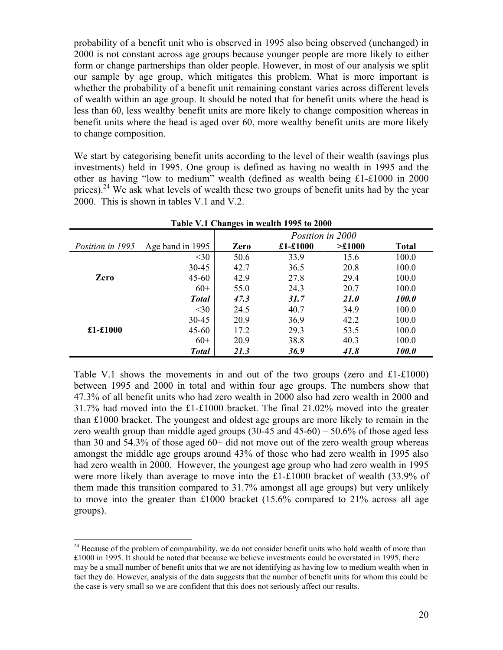probability of a benefit unit who is observed in 1995 also being observed (unchanged) in 2000 is not constant across age groups because younger people are more likely to either form or change partnerships than older people. However, in most of our analysis we split our sample by age group, which mitigates this problem. What is more important is whether the probability of a benefit unit remaining constant varies across different levels of wealth within an age group. It should be noted that for benefit units where the head is less than 60, less wealthy benefit units are more likely to change composition whereas in benefit units where the head is aged over 60, more wealthy benefit units are more likely to change composition.

We start by categorising benefit units according to the level of their wealth (savings plus investments) held in 1995. One group is defined as having no wealth in 1995 and the other as having "low to medium" wealth (defined as wealth being £1-£1000 in 2000 prices).<sup>24</sup> We ask what levels of wealth these two groups of benefit units had by the year 2000. This is shown in tables V.1 and V.2.

| Table V.1 Changes in wealth 1995 to 2000 |                  |                  |             |              |              |  |  |  |  |  |
|------------------------------------------|------------------|------------------|-------------|--------------|--------------|--|--|--|--|--|
|                                          |                  | Position in 2000 |             |              |              |  |  |  |  |  |
| Position in 1995                         | Age band in 1995 | Zero             | $£1-£1000$  | $\geq$ £1000 | <b>Total</b> |  |  |  |  |  |
|                                          | $<$ 30           | 50.6             | 33.9        | 15.6         | 100.0        |  |  |  |  |  |
|                                          | 30-45            | 42.7             | 36.5        | 20.8         | 100.0        |  |  |  |  |  |
| <b>Zero</b>                              | $45 - 60$        | 42.9             | 27.8        | 29.4         | 100.0        |  |  |  |  |  |
|                                          | $60+$            | 55.0             | 24.3        | 20.7         | 100.0        |  |  |  |  |  |
|                                          | <b>Total</b>     | 47.3             | 31.7        | <i>21.0</i>  | <b>100.0</b> |  |  |  |  |  |
|                                          | $<$ 30           | 24.5             | 40.7        | 34.9         | 100.0        |  |  |  |  |  |
|                                          | $30 - 45$        | 20.9             | 36.9        | 42.2         | 100.0        |  |  |  |  |  |
| £1-£1000                                 | $45 - 60$        | 17.2             | 29.3        | 53.5         | 100.0        |  |  |  |  |  |
|                                          | $60+$            | 20.9             | 38.8        | 40.3         | 100.0        |  |  |  |  |  |
|                                          | <b>Total</b>     | 21.3             | <b>36.9</b> | 41.8         | 100.0        |  |  |  |  |  |

Table V.1 shows the movements in and out of the two groups (zero and £1-£1000) between 1995 and 2000 in total and within four age groups. The numbers show that 47.3% of all benefit units who had zero wealth in 2000 also had zero wealth in 2000 and 31.7% had moved into the £1-£1000 bracket. The final 21.02% moved into the greater than £1000 bracket. The youngest and oldest age groups are more likely to remain in the zero wealth group than middle aged groups  $(30-45 \text{ and } 45-60) - 50.6\%$  of those aged less than 30 and 54.3% of those aged 60+ did not move out of the zero wealth group whereas amongst the middle age groups around 43% of those who had zero wealth in 1995 also had zero wealth in 2000. However, the youngest age group who had zero wealth in 1995 were more likely than average to move into the £1-£1000 bracket of wealth (33.9% of them made this transition compared to 31.7% amongst all age groups) but very unlikely to move into the greater than £1000 bracket (15.6% compared to 21% across all age groups).

 $\overline{a}$ 

<sup>&</sup>lt;sup>24</sup> Because of the problem of comparability, we do not consider benefit units who hold wealth of more than £1000 in 1995. It should be noted that because we believe investments could be overstated in 1995, there may be a small number of benefit units that we are not identifying as having low to medium wealth when in fact they do. However, analysis of the data suggests that the number of benefit units for whom this could be the case is very small so we are confident that this does not seriously affect our results.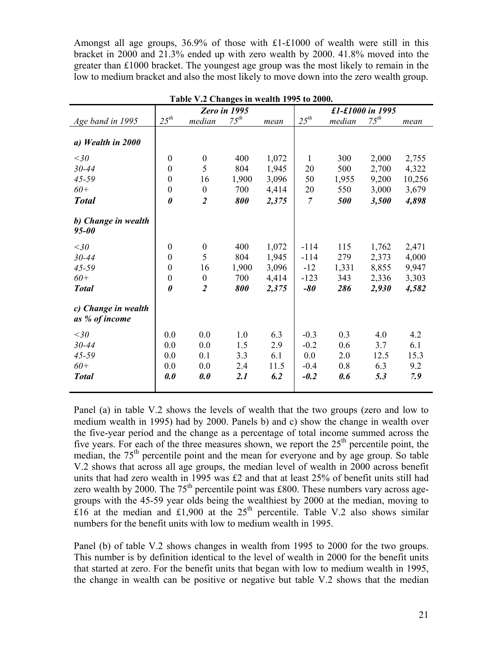Amongst all age groups, 36.9% of those with £1-£1000 of wealth were still in this bracket in 2000 and 21.3% ended up with zero wealth by 2000. 41.8% moved into the greater than £1000 bracket. The youngest age group was the most likely to remain in the low to medium bracket and also the most likely to move down into the zero wealth group.

|                     |                       |                  | Zero in 1995 |       |                |        | £1-£1000 in 1995 |        |
|---------------------|-----------------------|------------------|--------------|-------|----------------|--------|------------------|--------|
| Age band in 1995    | $25^{th}$             | median           | $75^{th}$    | mean  | $25^{th}$      | median | $75^{th}$        | mean   |
|                     |                       |                  |              |       |                |        |                  |        |
| a) Wealth in 2000   |                       |                  |              |       |                |        |                  |        |
| $<$ 30              | $\boldsymbol{0}$      | $\boldsymbol{0}$ | 400          | 1,072 | 1              | 300    | 2,000            | 2,755  |
| $30 - 44$           | $\boldsymbol{0}$      | 5                | 804          | 1,945 | 20             | 500    | 2,700            | 4,322  |
| $45 - 59$           | $\boldsymbol{0}$      | 16               | 1,900        | 3,096 | 50             | 1,955  | 9,200            | 10,256 |
| $60+$               | $\boldsymbol{0}$      | $\boldsymbol{0}$ | 700          | 4,414 | 20             | 550    | 3,000            | 3,679  |
| <b>Total</b>        | $\boldsymbol{\theta}$ | $\overline{2}$   | 800          | 2,375 | $\overline{7}$ | 500    | 3,500            | 4,898  |
| b) Change in wealth |                       |                  |              |       |                |        |                  |        |
| $95 - 00$           |                       |                  |              |       |                |        |                  |        |
| $<$ 30              | $\boldsymbol{0}$      | $\boldsymbol{0}$ | 400          | 1,072 | $-114$         | 115    | 1,762            | 2,471  |
| $30 - 44$           | $\boldsymbol{0}$      | 5                | 804          | 1,945 | $-114$         | 279    | 2,373            | 4,000  |
| $45 - 59$           | $\boldsymbol{0}$      | 16               | 1,900        | 3,096 | $-12$          | 1,331  | 8,855            | 9,947  |
| $60+$               | $\boldsymbol{0}$      | $\boldsymbol{0}$ | 700          | 4,414 | $-123$         | 343    | 2,336            | 3,303  |
| <b>Total</b>        | $\boldsymbol{\theta}$ | $\overline{2}$   | 800          | 2,375 | -80            | 286    | 2,930            | 4,582  |
| c) Change in wealth |                       |                  |              |       |                |        |                  |        |
| as % of income      |                       |                  |              |       |                |        |                  |        |
| $<$ 30              | 0.0                   | 0.0              | 1.0          | 6.3   | $-0.3$         | 0.3    | 4.0              | 4.2    |
| $30 - 44$           | 0.0                   | 0.0              | 1.5          | 2.9   | $-0.2$         | 0.6    | 3.7              | 6.1    |
| $45 - 59$           | 0.0                   | 0.1              | 3.3          | 6.1   | 0.0            | 2.0    | 12.5             | 15.3   |
| $60+$               | 0.0                   | 0.0              | 2.4          | 11.5  | $-0.4$         | 0.8    | 6.3              | 9.2    |
| <b>Total</b>        | 0.0                   | 0.0              | 2.1          | 6.2   | $-0.2$         | 0.6    | 5.3              | 7.9    |
|                     |                       |                  |              |       |                |        |                  |        |

**Table V.2 Changes in wealth 1995 to 2000.** 

Panel (a) in table V.2 shows the levels of wealth that the two groups (zero and low to medium wealth in 1995) had by 2000. Panels b) and c) show the change in wealth over the five-year period and the change as a percentage of total income summed across the five years. For each of the three measures shown, we report the  $25<sup>th</sup>$  percentile point, the median, the 75<sup>th</sup> percentile point and the mean for everyone and by age group. So table V.2 shows that across all age groups, the median level of wealth in 2000 across benefit units that had zero wealth in 1995 was £2 and that at least 25% of benefit units still had zero wealth by 2000. The  $75<sup>th</sup>$  percentile point was £800. These numbers vary across agegroups with the 45-59 year olds being the wealthiest by 2000 at the median, moving to £16 at the median and £1,900 at the  $25<sup>th</sup>$  percentile. Table V.2 also shows similar numbers for the benefit units with low to medium wealth in 1995.

Panel (b) of table V.2 shows changes in wealth from 1995 to 2000 for the two groups. This number is by definition identical to the level of wealth in 2000 for the benefit units that started at zero. For the benefit units that began with low to medium wealth in 1995, the change in wealth can be positive or negative but table V.2 shows that the median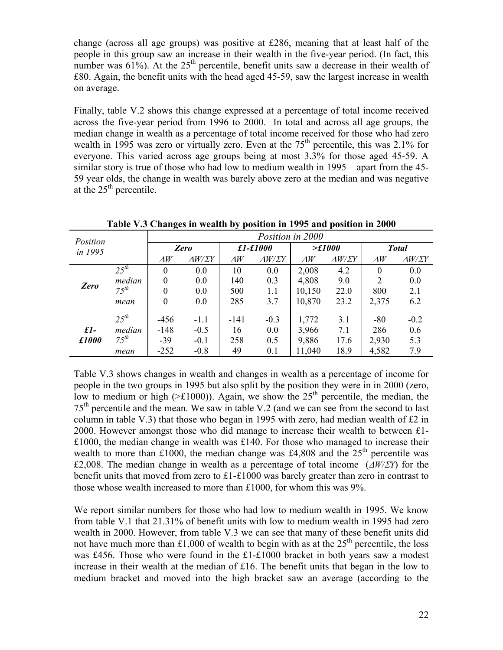change (across all age groups) was positive at £286, meaning that at least half of the people in this group saw an increase in their wealth in the five-year period. (In fact, this number was  $61\%$ ). At the  $25<sup>th</sup>$  percentile, benefit units saw a decrease in their wealth of £80. Again, the benefit units with the head aged 45-59, saw the largest increase in wealth on average.

Finally, table V.2 shows this change expressed at a percentage of total income received across the five-year period from 1996 to 2000. In total and across all age groups, the median change in wealth as a percentage of total income received for those who had zero wealth in 1995 was zero or virtually zero. Even at the  $75<sup>th</sup>$  percentile, this was 2.1% for everyone. This varied across age groups being at most 3.3% for those aged 45-59. A similar story is true of those who had low to medium wealth in 1995 – apart from the 45- 59 year olds, the change in wealth was barely above zero at the median and was negative at the  $25<sup>th</sup>$  percentile.

| Position<br>in 1995 |           |            | Position in 2000      |            |                     |               |                     |                  |                     |  |  |  |  |
|---------------------|-----------|------------|-----------------------|------------|---------------------|---------------|---------------------|------------------|---------------------|--|--|--|--|
|                     |           |            | Zero                  |            | $£1-£1000$          |               | $\geq f1000$        | <b>Total</b>     |                     |  |  |  |  |
|                     |           | $\Delta W$ | $\Delta W / \Sigma Y$ | $\Delta W$ | $\Delta W/\Sigma Y$ | $\varDelta W$ | $\Delta W/\Sigma Y$ | $\varDelta W$    | $\Delta W/\Sigma Y$ |  |  |  |  |
|                     | $25^{th}$ | 0          | 0.0                   | 10         | 0.0                 | 2,008         | 4.2                 | $\boldsymbol{0}$ | 0.0                 |  |  |  |  |
| Zero                | median    | $\theta$   | 0.0                   | 140        | 0.3                 | 4,808         | 9.0                 | 2                | 0.0                 |  |  |  |  |
|                     | $75^{th}$ | 0          | 0.0                   | 500        | 1.1                 | 10,150        | 22.0                | 800              | 2.1                 |  |  |  |  |
|                     | mean      | $\theta$   | 0.0                   | 285        | 3.7                 | 10,870        | 23.2                | 2,375            | 6.2                 |  |  |  |  |
|                     | $25^{th}$ | $-456$     | $-1.1$                | $-141$     | $-0.3$              | 1,772         | 3.1                 | $-80$            | $-0.2$              |  |  |  |  |
| $\pounds$ l-        | median    | $-148$     | $-0.5$                | 16         | 0.0                 | 3,966         | 7.1                 | 286              | 0.6                 |  |  |  |  |
| £1000               | $75^{th}$ | $-39$      | $-0.1$                | 258        | 0.5                 | 9,886         | 17.6                | 2,930            | 5.3                 |  |  |  |  |
|                     | mean      | $-252$     | $-0.8$                | 49         | 0.1                 | 11,040        | 18.9                | 4,582            | 7.9                 |  |  |  |  |

**Table V.3 Changes in wealth by position in 1995 and position in 2000** 

Table V.3 shows changes in wealth and changes in wealth as a percentage of income for people in the two groups in 1995 but also split by the position they were in in 2000 (zero, low to medium or high ( $\geq$ £1000)). Again, we show the 25<sup>th</sup> percentile, the median, the 75th percentile and the mean. We saw in table V.2 (and we can see from the second to last column in table V.3) that those who began in 1995 with zero, had median wealth of £2 in 2000. However amongst those who did manage to increase their wealth to between £1- £1000, the median change in wealth was £140. For those who managed to increase their wealth to more than £1000, the median change was £4,808 and the  $25<sup>th</sup>$  percentile was £2,008. The median change in wealth as a percentage of total income (∆*W/*Σ*Y*) for the benefit units that moved from zero to £1-£1000 was barely greater than zero in contrast to those whose wealth increased to more than £1000, for whom this was 9%.

We report similar numbers for those who had low to medium wealth in 1995. We know from table V.1 that 21.31% of benefit units with low to medium wealth in 1995 had zero wealth in 2000. However, from table V.3 we can see that many of these benefit units did not have much more than £1,000 of wealth to begin with as at the  $25<sup>th</sup>$  percentile, the loss was £456. Those who were found in the £1-£1000 bracket in both years saw a modest increase in their wealth at the median of £16. The benefit units that began in the low to medium bracket and moved into the high bracket saw an average (according to the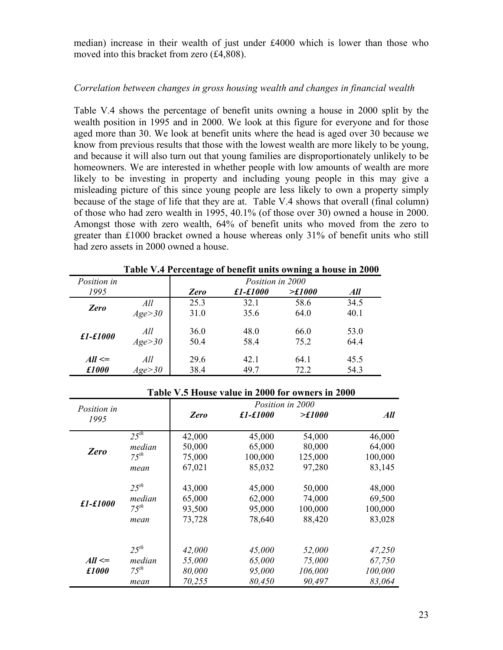median) increase in their wealth of just under £4000 which is lower than those who moved into this bracket from zero (£4,808).

## *Correlation between changes in gross housing wealth and changes in financial wealth*

Table V.4 shows the percentage of benefit units owning a house in 2000 split by the wealth position in 1995 and in 2000. We look at this figure for everyone and for those aged more than 30. We look at benefit units where the head is aged over 30 because we know from previous results that those with the lowest wealth are more likely to be young, and because it will also turn out that young families are disproportionately unlikely to be homeowners. We are interested in whether people with low amounts of wealth are more likely to be investing in property and including young people in this may give a misleading picture of this since young people are less likely to own a property simply because of the stage of life that they are at. Table V.4 shows that overall (final column) of those who had zero wealth in 1995, 40.1% (of those over 30) owned a house in 2000. Amongst those with zero wealth, 64% of benefit units who moved from the zero to greater than £1000 bracket owned a house whereas only 31% of benefit units who still had zero assets in 2000 owned a house.

| Position in |          | Position in 2000 |          |                   |      |  |  |  |
|-------------|----------|------------------|----------|-------------------|------|--|--|--|
| 1995        |          | Zero             | £1-£1000 | $\mathcal{F}1000$ | All  |  |  |  |
| Zero        | All      | 25.3             | 32.1     | 58.6              | 34.5 |  |  |  |
|             | Age > 30 | 31.0             | 35.6     | 64.0              | 40.1 |  |  |  |
|             | All      | 36.0             | 48.0     | 66.0              | 53.0 |  |  |  |
| £1-£1000    | Age > 30 | 50.4             | 58.4     | 75.2              | 64.4 |  |  |  |
| $All \leq$  | All      | 29.6             | 42.1     | 64.1              | 45.5 |  |  |  |
| £1000       | Age > 30 | 38.4             | 49.7     | 72.2              | 54.3 |  |  |  |

**Table V.4 Percentage of benefit units owning a house in 2000** 

|                            |            |        | Position in 2000 |         |         |
|----------------------------|------------|--------|------------------|---------|---------|
| <i>Position in</i><br>1995 |            | Zero   | $f1-f1000$       | >£1000  | All     |
|                            | $25^{th}$  | 42,000 | 45,000           | 54,000  | 46,000  |
|                            | median     | 50,000 | 65,000           | 80,000  | 64,000  |
| Zero                       | $7.5^{th}$ | 75,000 | 100,000          | 125,000 | 100,000 |
|                            | mean       | 67,021 | 85,032           | 97,280  | 83,145  |
|                            | $25^{th}$  | 43,000 | 45,000           | 50,000  | 48,000  |
|                            | median     | 65,000 | 62,000           | 74,000  | 69,500  |
| $£1-£1000$                 | $75^{th}$  | 93,500 | 95,000           | 100,000 | 100,000 |
|                            | mean       | 73,728 | 78,640           | 88,420  | 83,028  |
|                            | $25^{th}$  | 42,000 | 45,000           | 52,000  | 47,250  |
| $All \leq$                 | median     | 55,000 | 65,000           | 75,000  | 67,750  |
| £1000                      | $75^{th}$  | 80,000 | 95,000           | 106,000 | 100,000 |
|                            | mean       | 70,255 | 80,450           | 90,497  | 83,064  |

## **Table V.5 House value in 2000 for owners in 2000**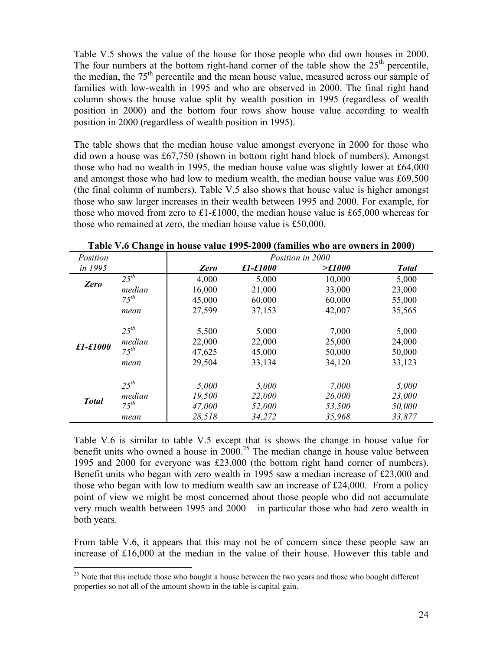Table V.5 shows the value of the house for those people who did own houses in 2000. The four numbers at the bottom right-hand corner of the table show the  $25<sup>th</sup>$  percentile, the median, the  $75<sup>th</sup>$  percentile and the mean house value, measured across our sample of families with low-wealth in 1995 and who are observed in 2000. The final right hand column shows the house value split by wealth position in 1995 (regardless of wealth position in 2000) and the bottom four rows show house value according to wealth position in 2000 (regardless of wealth position in 1995).

The table shows that the median house value amongst everyone in 2000 for those who did own a house was £67,750 (shown in bottom right hand block of numbers). Amongst those who had no wealth in 1995, the median house value was slightly lower at £64,000 and amongst those who had low to medium wealth, the median house value was £69,500 (the final column of numbers). Table V.5 also shows that house value is higher amongst those who saw larger increases in their wealth between 1995 and 2000. For example, for those who moved from zero to £1-£1000, the median house value is £65,000 whereas for those who remained at zero, the median house value is £50,000.

| Position     |            |        | Position in 2000 |                   |              |  |  |  |  |  |  |
|--------------|------------|--------|------------------|-------------------|--------------|--|--|--|--|--|--|
| in 1995      |            | Zero   | $£1 - £1000$     | $\mathcal{F}1000$ | <b>Total</b> |  |  |  |  |  |  |
| Zero         | $2.5^{th}$ | 4,000  | 5,000            | 10,000            | 5,000        |  |  |  |  |  |  |
|              | median     | 16,000 | 21,000           | 33,000            | 23,000       |  |  |  |  |  |  |
|              | $75^{th}$  | 45,000 | 60,000           | 60,000            | 55,000       |  |  |  |  |  |  |
|              | mean       | 27,599 | 37,153           | 42,007            | 35,565       |  |  |  |  |  |  |
|              | $2.5^{th}$ | 5,500  | 5,000            | 7,000             | 5,000        |  |  |  |  |  |  |
|              | median     | 22,000 | 22,000           | 25,000            | 24,000       |  |  |  |  |  |  |
| £1-£1000     | $75^{th}$  | 47,625 | 45,000           | 50,000            | 50,000       |  |  |  |  |  |  |
|              | mean       | 29,504 | 33,134           | 34,120            | 33,123       |  |  |  |  |  |  |
|              | $2.5^{th}$ | 5,000  | 5,000            | 7,000             | 5,000        |  |  |  |  |  |  |
|              | median     | 19,500 | 22,000           | 26,000            | 23,000       |  |  |  |  |  |  |
| <b>Total</b> | $75^{th}$  | 47,000 | 52,000           | 53,500            | 50,000       |  |  |  |  |  |  |
|              | mean       | 28,518 | 34,272           | 35,968            | 33,877       |  |  |  |  |  |  |

**Table V.6 Change in house value 1995-2000 (families who are owners in 2000)** 

Table V.6 is similar to table V.5 except that is shows the change in house value for benefit units who owned a house in  $2000^{25}$  The median change in house value between 1995 and 2000 for everyone was £23,000 (the bottom right hand corner of numbers). Benefit units who began with zero wealth in 1995 saw a median increase of £23,000 and those who began with low to medium wealth saw an increase of £24,000. From a policy point of view we might be most concerned about those people who did not accumulate very much wealth between 1995 and 2000 – in particular those who had zero wealth in both years.

From table V.6, it appears that this may not be of concern since these people saw an increase of £16,000 at the median in the value of their house. However this table and

 $\overline{a}$ 

 $25$  Note that this include those who bought a house between the two years and those who bought different properties so not all of the amount shown in the table is capital gain.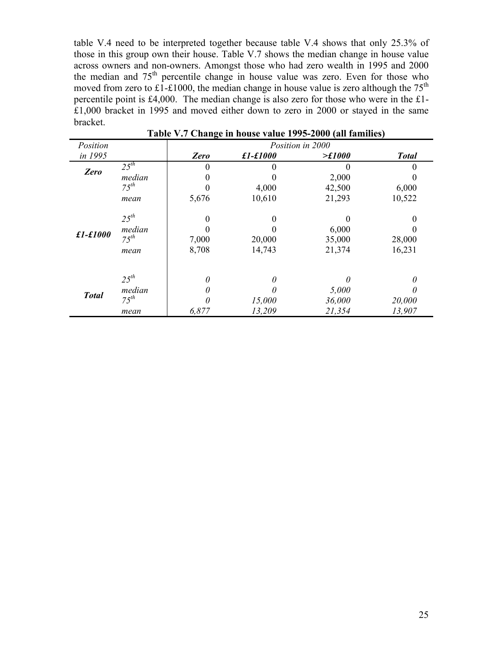table V.4 need to be interpreted together because table V.4 shows that only 25.3% of those in this group own their house. Table V.7 shows the median change in house value across owners and non-owners. Amongst those who had zero wealth in 1995 and 2000 the median and  $75<sup>th</sup>$  percentile change in house value was zero. Even for those who moved from zero to  $\text{\pounds}1-\text{\pounds}1000$ , the median change in house value is zero although the 75<sup>th</sup> percentile point is £4,000. The median change is also zero for those who were in the £1- £1,000 bracket in 1995 and moved either down to zero in 2000 or stayed in the same bracket.

| Position     |                | Position in 2000 |          |              |              |  |  |  |  |  |
|--------------|----------------|------------------|----------|--------------|--------------|--|--|--|--|--|
| in 1995      |                | Zero             | £1-£1000 | $\geq f1000$ | <b>Total</b> |  |  |  |  |  |
|              | $25^{th}$      | 0                |          |              |              |  |  |  |  |  |
|              | Zero<br>median |                  |          | 2,000        |              |  |  |  |  |  |
|              | $75^{th}$      |                  | 4,000    | 42,500       | 6,000        |  |  |  |  |  |
|              | mean           | 5,676            | 10,610   | 21,293       | 10,522       |  |  |  |  |  |
|              | $25^{th}$      | 0                | 0        |              |              |  |  |  |  |  |
|              | median         |                  |          | 6,000        |              |  |  |  |  |  |
| £1-£1000     | $75^{th}$      | 7,000            | 20,000   | 35,000       | 28,000       |  |  |  |  |  |
|              | mean           | 8,708            | 14,743   | 21,374       | 16,231       |  |  |  |  |  |
|              | $25^{th}$      | 0                | 0        |              | 0            |  |  |  |  |  |
|              | median         | 0                | 0        | 5,000        | 0            |  |  |  |  |  |
| <b>Total</b> | $75^{th}$      |                  | 15,000   | 36,000       | 20,000       |  |  |  |  |  |
|              | mean           | 6,877            | 13,209   | 21,354       | 13,907       |  |  |  |  |  |

**Table V.7 Change in house value 1995-2000 (all families)**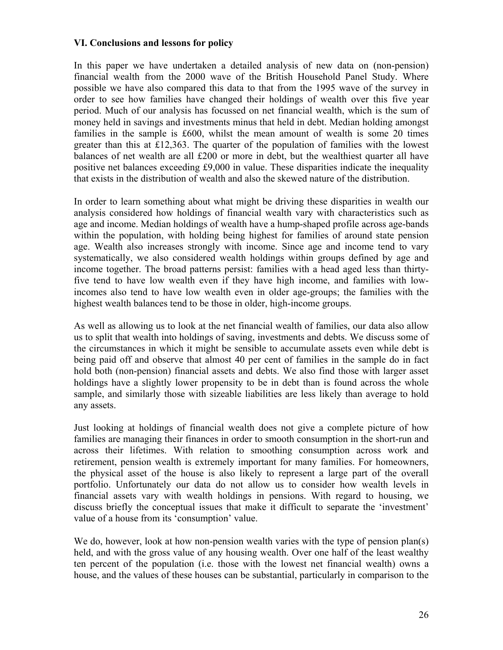## **VI. Conclusions and lessons for policy**

In this paper we have undertaken a detailed analysis of new data on (non-pension) financial wealth from the 2000 wave of the British Household Panel Study. Where possible we have also compared this data to that from the 1995 wave of the survey in order to see how families have changed their holdings of wealth over this five year period. Much of our analysis has focussed on net financial wealth, which is the sum of money held in savings and investments minus that held in debt. Median holding amongst families in the sample is £600, whilst the mean amount of wealth is some 20 times greater than this at £12,363. The quarter of the population of families with the lowest balances of net wealth are all £200 or more in debt, but the wealthiest quarter all have positive net balances exceeding £9,000 in value. These disparities indicate the inequality that exists in the distribution of wealth and also the skewed nature of the distribution.

In order to learn something about what might be driving these disparities in wealth our analysis considered how holdings of financial wealth vary with characteristics such as age and income. Median holdings of wealth have a hump-shaped profile across age-bands within the population, with holding being highest for families of around state pension age. Wealth also increases strongly with income. Since age and income tend to vary systematically, we also considered wealth holdings within groups defined by age and income together. The broad patterns persist: families with a head aged less than thirtyfive tend to have low wealth even if they have high income, and families with lowincomes also tend to have low wealth even in older age-groups; the families with the highest wealth balances tend to be those in older, high-income groups.

As well as allowing us to look at the net financial wealth of families, our data also allow us to split that wealth into holdings of saving, investments and debts. We discuss some of the circumstances in which it might be sensible to accumulate assets even while debt is being paid off and observe that almost 40 per cent of families in the sample do in fact hold both (non-pension) financial assets and debts. We also find those with larger asset holdings have a slightly lower propensity to be in debt than is found across the whole sample, and similarly those with sizeable liabilities are less likely than average to hold any assets.

Just looking at holdings of financial wealth does not give a complete picture of how families are managing their finances in order to smooth consumption in the short-run and across their lifetimes. With relation to smoothing consumption across work and retirement, pension wealth is extremely important for many families. For homeowners, the physical asset of the house is also likely to represent a large part of the overall portfolio. Unfortunately our data do not allow us to consider how wealth levels in financial assets vary with wealth holdings in pensions. With regard to housing, we discuss briefly the conceptual issues that make it difficult to separate the 'investment' value of a house from its 'consumption' value.

We do, however, look at how non-pension wealth varies with the type of pension plan(s) held, and with the gross value of any housing wealth. Over one half of the least wealthy ten percent of the population (i.e. those with the lowest net financial wealth) owns a house, and the values of these houses can be substantial, particularly in comparison to the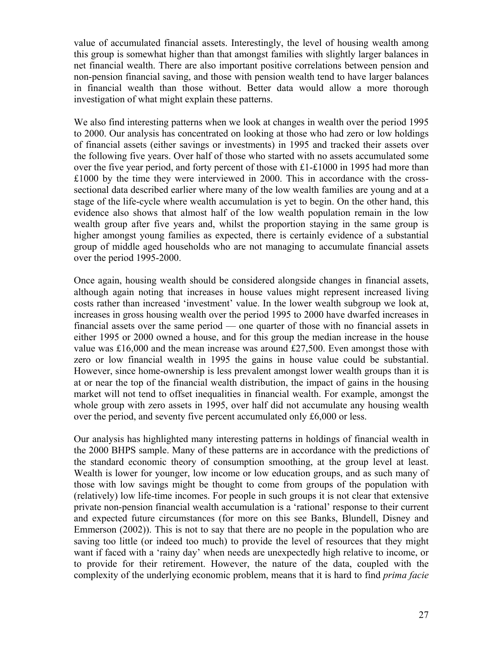value of accumulated financial assets. Interestingly, the level of housing wealth among this group is somewhat higher than that amongst families with slightly larger balances in net financial wealth. There are also important positive correlations between pension and non-pension financial saving, and those with pension wealth tend to have larger balances in financial wealth than those without. Better data would allow a more thorough investigation of what might explain these patterns.

We also find interesting patterns when we look at changes in wealth over the period 1995 to 2000. Our analysis has concentrated on looking at those who had zero or low holdings of financial assets (either savings or investments) in 1995 and tracked their assets over the following five years. Over half of those who started with no assets accumulated some over the five year period, and forty percent of those with  $\pounds1-\pounds1000$  in 1995 had more than £1000 by the time they were interviewed in 2000. This in accordance with the crosssectional data described earlier where many of the low wealth families are young and at a stage of the life-cycle where wealth accumulation is yet to begin. On the other hand, this evidence also shows that almost half of the low wealth population remain in the low wealth group after five years and, whilst the proportion staying in the same group is higher amongst young families as expected, there is certainly evidence of a substantial group of middle aged households who are not managing to accumulate financial assets over the period 1995-2000.

Once again, housing wealth should be considered alongside changes in financial assets, although again noting that increases in house values might represent increased living costs rather than increased 'investment' value. In the lower wealth subgroup we look at, increases in gross housing wealth over the period 1995 to 2000 have dwarfed increases in financial assets over the same period — one quarter of those with no financial assets in either 1995 or 2000 owned a house, and for this group the median increase in the house value was £16,000 and the mean increase was around £27,500. Even amongst those with zero or low financial wealth in 1995 the gains in house value could be substantial. However, since home-ownership is less prevalent amongst lower wealth groups than it is at or near the top of the financial wealth distribution, the impact of gains in the housing market will not tend to offset inequalities in financial wealth. For example, amongst the whole group with zero assets in 1995, over half did not accumulate any housing wealth over the period, and seventy five percent accumulated only £6,000 or less.

Our analysis has highlighted many interesting patterns in holdings of financial wealth in the 2000 BHPS sample. Many of these patterns are in accordance with the predictions of the standard economic theory of consumption smoothing, at the group level at least. Wealth is lower for younger, low income or low education groups, and as such many of those with low savings might be thought to come from groups of the population with (relatively) low life-time incomes. For people in such groups it is not clear that extensive private non-pension financial wealth accumulation is a 'rational' response to their current and expected future circumstances (for more on this see Banks, Blundell, Disney and Emmerson (2002)). This is not to say that there are no people in the population who are saving too little (or indeed too much) to provide the level of resources that they might want if faced with a 'rainy day' when needs are unexpectedly high relative to income, or to provide for their retirement. However, the nature of the data, coupled with the complexity of the underlying economic problem, means that it is hard to find *prima facie*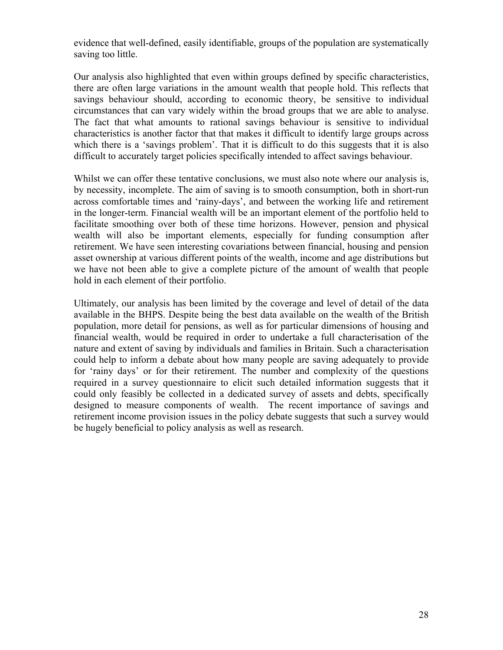evidence that well-defined, easily identifiable, groups of the population are systematically saving too little.

Our analysis also highlighted that even within groups defined by specific characteristics, there are often large variations in the amount wealth that people hold. This reflects that savings behaviour should, according to economic theory, be sensitive to individual circumstances that can vary widely within the broad groups that we are able to analyse. The fact that what amounts to rational savings behaviour is sensitive to individual characteristics is another factor that that makes it difficult to identify large groups across which there is a 'savings problem'. That it is difficult to do this suggests that it is also difficult to accurately target policies specifically intended to affect savings behaviour.

Whilst we can offer these tentative conclusions, we must also note where our analysis is, by necessity, incomplete. The aim of saving is to smooth consumption, both in short-run across comfortable times and 'rainy-days', and between the working life and retirement in the longer-term. Financial wealth will be an important element of the portfolio held to facilitate smoothing over both of these time horizons. However, pension and physical wealth will also be important elements, especially for funding consumption after retirement. We have seen interesting covariations between financial, housing and pension asset ownership at various different points of the wealth, income and age distributions but we have not been able to give a complete picture of the amount of wealth that people hold in each element of their portfolio.

Ultimately, our analysis has been limited by the coverage and level of detail of the data available in the BHPS. Despite being the best data available on the wealth of the British population, more detail for pensions, as well as for particular dimensions of housing and financial wealth, would be required in order to undertake a full characterisation of the nature and extent of saving by individuals and families in Britain. Such a characterisation could help to inform a debate about how many people are saving adequately to provide for 'rainy days' or for their retirement. The number and complexity of the questions required in a survey questionnaire to elicit such detailed information suggests that it could only feasibly be collected in a dedicated survey of assets and debts, specifically designed to measure components of wealth. The recent importance of savings and retirement income provision issues in the policy debate suggests that such a survey would be hugely beneficial to policy analysis as well as research.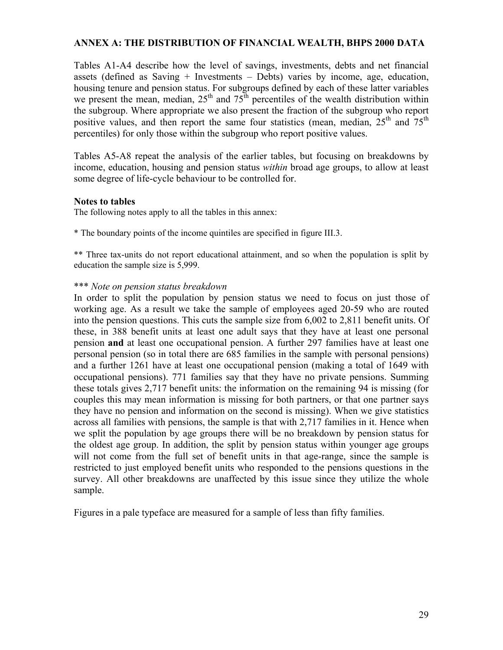## **ANNEX A: THE DISTRIBUTION OF FINANCIAL WEALTH, BHPS 2000 DATA**

Tables A1-A4 describe how the level of savings, investments, debts and net financial assets (defined as Saving + Investments – Debts) varies by income, age, education, housing tenure and pension status. For subgroups defined by each of these latter variables we present the mean, median,  $25<sup>th</sup>$  and  $75<sup>th</sup>$  percentiles of the wealth distribution within the subgroup. Where appropriate we also present the fraction of the subgroup who report positive values, and then report the same four statistics (mean, median,  $25<sup>th</sup>$  and  $75<sup>th</sup>$ percentiles) for only those within the subgroup who report positive values.

Tables A5-A8 repeat the analysis of the earlier tables, but focusing on breakdowns by income, education, housing and pension status *within* broad age groups, to allow at least some degree of life-cycle behaviour to be controlled for.

## **Notes to tables**

The following notes apply to all the tables in this annex:

\* The boundary points of the income quintiles are specified in figure III.3.

\*\* Three tax-units do not report educational attainment, and so when the population is split by education the sample size is 5,999.

## \*\*\* *Note on pension status breakdown*

In order to split the population by pension status we need to focus on just those of working age. As a result we take the sample of employees aged 20-59 who are routed into the pension questions. This cuts the sample size from 6,002 to 2,811 benefit units. Of these, in 388 benefit units at least one adult says that they have at least one personal pension **and** at least one occupational pension. A further 297 families have at least one personal pension (so in total there are 685 families in the sample with personal pensions) and a further 1261 have at least one occupational pension (making a total of 1649 with occupational pensions). 771 families say that they have no private pensions. Summing these totals gives 2,717 benefit units: the information on the remaining 94 is missing (for couples this may mean information is missing for both partners, or that one partner says they have no pension and information on the second is missing). When we give statistics across all families with pensions, the sample is that with 2,717 families in it. Hence when we split the population by age groups there will be no breakdown by pension status for the oldest age group. In addition, the split by pension status within younger age groups will not come from the full set of benefit units in that age-range, since the sample is restricted to just employed benefit units who responded to the pensions questions in the survey. All other breakdowns are unaffected by this issue since they utilize the whole sample.

Figures in a pale typeface are measured for a sample of less than fifty families.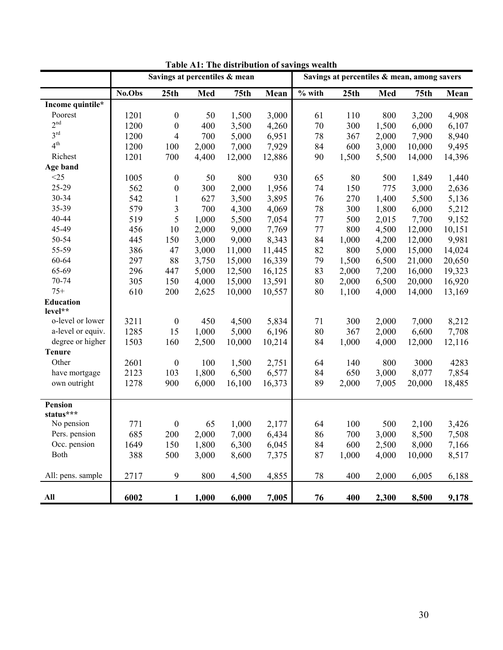|                   |        | Savings at percentiles & mean |       |                  |        |          | Savings at percentiles & mean, among savers |       |                  |        |
|-------------------|--------|-------------------------------|-------|------------------|--------|----------|---------------------------------------------|-------|------------------|--------|
|                   | No.Obs | 25 <sub>th</sub>              | Med   | 75 <sub>th</sub> | Mean   | $%$ with | 25th                                        | Med   | 75 <sub>th</sub> | Mean   |
| Income quintile*  |        |                               |       |                  |        |          |                                             |       |                  |        |
| Poorest           | 1201   | $\boldsymbol{0}$              | 50    | 1,500            | 3,000  | 61       | 110                                         | 800   | 3,200            | 4,908  |
| 2 <sup>nd</sup>   | 1200   | $\boldsymbol{0}$              | 400   | 3,500            | 4,260  | 70       | 300                                         | 1,500 | 6,000            | 6,107  |
| $3^{\text{rd}}$   | 1200   | $\overline{4}$                | 700   | 5,000            | 6,951  | 78       | 367                                         | 2,000 | 7,900            | 8,940  |
| 4 <sup>th</sup>   | 1200   | 100                           | 2,000 | 7,000            | 7,929  | 84       | 600                                         | 3,000 | 10,000           | 9,495  |
| Richest           | 1201   | 700                           | 4,400 | 12,000           | 12,886 | 90       | 1,500                                       | 5,500 | 14,000           | 14,396 |
| Age band          |        |                               |       |                  |        |          |                                             |       |                  |        |
| <25               | 1005   | $\boldsymbol{0}$              | 50    | 800              | 930    | 65       | 80                                          | 500   | 1,849            | 1,440  |
| 25-29             | 562    | $\boldsymbol{0}$              | 300   | 2,000            | 1,956  | 74       | 150                                         | 775   | 3,000            | 2,636  |
| 30-34             | 542    | 1                             | 627   | 3,500            | 3,895  | 76       | 270                                         | 1,400 | 5,500            | 5,136  |
| 35-39             | 579    | $\mathfrak{Z}$                | 700   | 4,300            | 4,069  | 78       | 300                                         | 1,800 | 6,000            | 5,212  |
| 40-44             | 519    | 5                             | 1,000 | 5,500            | 7,054  | 77       | 500                                         | 2,015 | 7,700            | 9,152  |
| 45-49             | 456    | 10                            | 2,000 | 9,000            | 7,769  | 77       | 800                                         | 4,500 | 12,000           | 10,151 |
| 50-54             | 445    | 150                           | 3,000 | 9,000            | 8,343  | 84       | 1,000                                       | 4,200 | 12,000           | 9,981  |
| 55-59             | 386    | 47                            | 3,000 | 11,000           | 11,445 | 82       | 800                                         | 5,000 | 15,000           | 14,024 |
| 60-64             | 297    | 88                            | 3,750 | 15,000           | 16,339 | 79       | 1,500                                       | 6,500 | 21,000           | 20,650 |
| 65-69             | 296    | 447                           | 5,000 | 12,500           | 16,125 | 83       | 2,000                                       | 7,200 | 16,000           | 19,323 |
| 70-74             | 305    | 150                           | 4,000 | 15,000           | 13,591 | 80       | 2,000                                       | 6,500 | 20,000           | 16,920 |
| $75+$             | 610    | 200                           | 2,625 | 10,000           | 10,557 | 80       | 1,100                                       | 4,000 | 14,000           | 13,169 |
| Education         |        |                               |       |                  |        |          |                                             |       |                  |        |
| level**           |        |                               |       |                  |        |          |                                             |       |                  |        |
| o-level or lower  | 3211   | $\boldsymbol{0}$              | 450   | 4,500            | 5,834  | 71       | 300                                         | 2,000 | 7,000            | 8,212  |
| a-level or equiv. | 1285   | 15                            | 1,000 | 5,000            | 6,196  | 80       | 367                                         | 2,000 | 6,600            | 7,708  |
| degree or higher  | 1503   | 160                           | 2,500 | 10,000           | 10,214 | 84       | 1,000                                       | 4,000 | 12,000           | 12,116 |
| <b>Tenure</b>     |        |                               |       |                  |        |          |                                             |       |                  |        |
| Other             | 2601   | $\boldsymbol{0}$              | 100   | 1,500            | 2,751  | 64       | 140                                         | 800   | 3000             | 4283   |
| have mortgage     | 2123   | 103                           | 1,800 | 6,500            | 6,577  | 84       | 650                                         | 3,000 | 8,077            | 7,854  |
| own outright      | 1278   | 900                           | 6,000 | 16,100           | 16,373 | 89       | 2,000                                       | 7,005 | 20,000           | 18,485 |
|                   |        |                               |       |                  |        |          |                                             |       |                  |        |
| Pension           |        |                               |       |                  |        |          |                                             |       |                  |        |
| status***         |        |                               |       |                  |        |          |                                             |       |                  |        |
| No pension        | 771    | $\boldsymbol{0}$              | 65    | 1,000            | 2,177  | 64       | 100                                         | 500   | 2,100            | 3,426  |
| Pers. pension     | 685    | 200                           | 2,000 | 7,000            | 6,434  | 86       | 700                                         | 3,000 | 8,500            | 7,508  |
| Occ. pension      | 1649   | 150                           | 1,800 | 6,300            | 6,045  | 84       | 600                                         | 2,500 | 8,000            | 7,166  |
| Both              | 388    | 500                           | 3,000 | 8,600            | 7,375  | 87       | 1,000                                       | 4,000 | 10,000           | 8,517  |
|                   |        |                               |       |                  |        |          |                                             |       |                  |        |
| All: pens. sample | 2717   | 9                             | 800   | 4,500            | 4,855  | 78       | 400                                         | 2,000 | 6,005            | 6,188  |
| All               | 6002   | $\mathbf{1}$                  | 1,000 | 6,000            | 7,005  | 76       | 400                                         | 2,300 | 8,500            | 9,178  |

**Table A1: The distribution of savings wealth**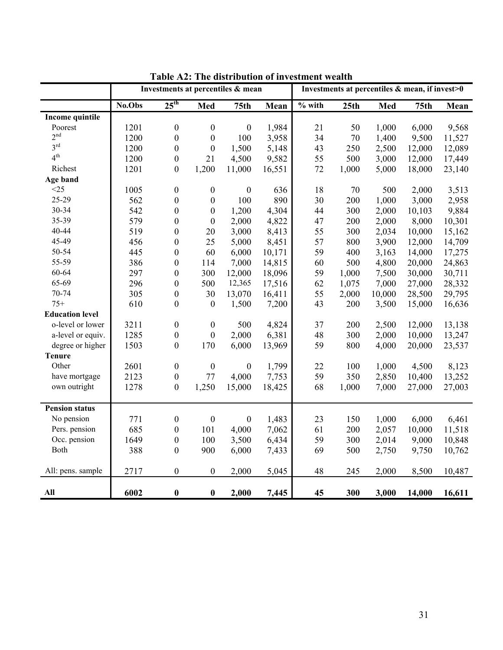|                        |        |                  |                  | Investments at percentiles & mean |        |          |       | Investments at percentiles & mean, if invest>0 |                  |        |
|------------------------|--------|------------------|------------------|-----------------------------------|--------|----------|-------|------------------------------------------------|------------------|--------|
|                        | No.Obs | $25^{\text{th}}$ | Med              | 75 <sub>th</sub>                  | Mean   | $%$ with | 25th  | Med                                            | 75 <sub>th</sub> | Mean   |
| Income quintile        |        |                  |                  |                                   |        |          |       |                                                |                  |        |
| Poorest                | 1201   | $\boldsymbol{0}$ | $\boldsymbol{0}$ | $\boldsymbol{0}$                  | 1,984  | 21       | 50    | 1,000                                          | 6,000            | 9,568  |
| 2 <sup>nd</sup>        | 1200   | $\boldsymbol{0}$ | $\boldsymbol{0}$ | 100                               | 3,958  | 34       | 70    | 1,400                                          | 9,500            | 11,527 |
| $3^{\text{rd}}$        | 1200   | $\boldsymbol{0}$ | $\boldsymbol{0}$ | 1,500                             | 5,148  | 43       | 250   | 2,500                                          | 12,000           | 12,089 |
| 4 <sup>th</sup>        | 1200   | $\boldsymbol{0}$ | 21               | 4,500                             | 9,582  | 55       | 500   | 3,000                                          | 12,000           | 17,449 |
| Richest                | 1201   | $\boldsymbol{0}$ | 1,200            | 11,000                            | 16,551 | 72       | 1,000 | 5,000                                          | 18,000           | 23,140 |
| Age band               |        |                  |                  |                                   |        |          |       |                                                |                  |        |
| <25                    | 1005   | $\boldsymbol{0}$ | $\boldsymbol{0}$ | $\boldsymbol{0}$                  | 636    | 18       | 70    | 500                                            | 2,000            | 3,513  |
| 25-29                  | 562    | $\boldsymbol{0}$ | $\boldsymbol{0}$ | 100                               | 890    | 30       | 200   | 1,000                                          | 3,000            | 2,958  |
| 30-34                  | 542    | $\boldsymbol{0}$ | $\boldsymbol{0}$ | 1,200                             | 4,304  | 44       | 300   | 2,000                                          | 10,103           | 9,884  |
| 35-39                  | 579    | $\boldsymbol{0}$ | $\boldsymbol{0}$ | 2,000                             | 4,822  | 47       | 200   | 2,000                                          | 8,000            | 10,301 |
| 40-44                  | 519    | $\boldsymbol{0}$ | 20               | 3,000                             | 8,413  | 55       | 300   | 2,034                                          | 10,000           | 15,162 |
| 45-49                  | 456    | $\boldsymbol{0}$ | 25               | 5,000                             | 8,451  | 57       | 800   | 3,900                                          | 12,000           | 14,709 |
| 50-54                  | 445    | $\boldsymbol{0}$ | 60               | 6,000                             | 10,171 | 59       | 400   | 3,163                                          | 14,000           | 17,275 |
| 55-59                  | 386    | $\boldsymbol{0}$ | 114              | 7,000                             | 14,815 | 60       | 500   | 4,800                                          | 20,000           | 24,863 |
| 60-64                  | 297    | $\boldsymbol{0}$ | 300              | 12,000                            | 18,096 | 59       | 1,000 | 7,500                                          | 30,000           | 30,711 |
| 65-69                  | 296    | $\boldsymbol{0}$ | 500              | 12,365                            | 17,516 | 62       | 1,075 | 7,000                                          | 27,000           | 28,332 |
| 70-74                  | 305    | $\boldsymbol{0}$ | 30               | 13,070                            | 16,411 | 55       | 2,000 | 10,000                                         | 28,500           | 29,795 |
| $75+$                  | 610    | $\boldsymbol{0}$ | $\boldsymbol{0}$ | 1,500                             | 7,200  | 43       | 200   | 3,500                                          | 15,000           | 16,636 |
| <b>Education level</b> |        |                  |                  |                                   |        |          |       |                                                |                  |        |
| o-level or lower       | 3211   | $\boldsymbol{0}$ | $\boldsymbol{0}$ | 500                               | 4,824  | 37       | 200   | 2,500                                          | 12,000           | 13,138 |
| a-level or equiv.      | 1285   | $\boldsymbol{0}$ | $\boldsymbol{0}$ | 2,000                             | 6,381  | 48       | 300   | 2,000                                          | 10,000           | 13,247 |
| degree or higher       | 1503   | $\boldsymbol{0}$ | 170              | 6,000                             | 13,969 | 59       | 800   | 4,000                                          | 20,000           | 23,537 |
| <b>Tenure</b>          |        |                  |                  |                                   |        |          |       |                                                |                  |        |
| Other                  | 2601   | $\boldsymbol{0}$ | $\boldsymbol{0}$ | $\boldsymbol{0}$                  | 1,799  | 22       | 100   | 1,000                                          | 4,500            | 8,123  |
| have mortgage          | 2123   | $\boldsymbol{0}$ | 77               | 4,000                             | 7,753  | 59       | 350   | 2,850                                          | 10,400           | 13,252 |
| own outright           | 1278   | $\boldsymbol{0}$ | 1,250            | 15,000                            | 18,425 | 68       | 1,000 | 7,000                                          | 27,000           | 27,003 |
| <b>Pension status</b>  |        |                  |                  |                                   |        |          |       |                                                |                  |        |
| No pension             | 771    | $\boldsymbol{0}$ | $\boldsymbol{0}$ | $\boldsymbol{0}$                  | 1,483  | 23       | 150   | 1,000                                          | 6,000            | 6,461  |
| Pers. pension          | 685    | $\boldsymbol{0}$ | 101              | 4,000                             | 7,062  | 61       | 200   | 2,057                                          | 10,000           | 11,518 |
| Occ. pension           | 1649   | $\boldsymbol{0}$ | 100              | 3,500                             | 6,434  | 59       | 300   | 2,014                                          | 9,000            | 10,848 |
| Both                   | 388    | $\boldsymbol{0}$ | 900              | 6,000                             | 7,433  | 69       | 500   | 2,750                                          | 9,750            | 10,762 |
| All: pens. sample      | 2717   | $\boldsymbol{0}$ | $\boldsymbol{0}$ | 2,000                             | 5,045  | 48       | 245   | 2,000                                          | 8,500            | 10,487 |
| All                    | 6002   | $\bf{0}$         | $\bf{0}$         | 2,000                             | 7,445  | 45       | 300   | 3,000                                          | 14,000           | 16,611 |

**Table A2: The distribution of investment wealth**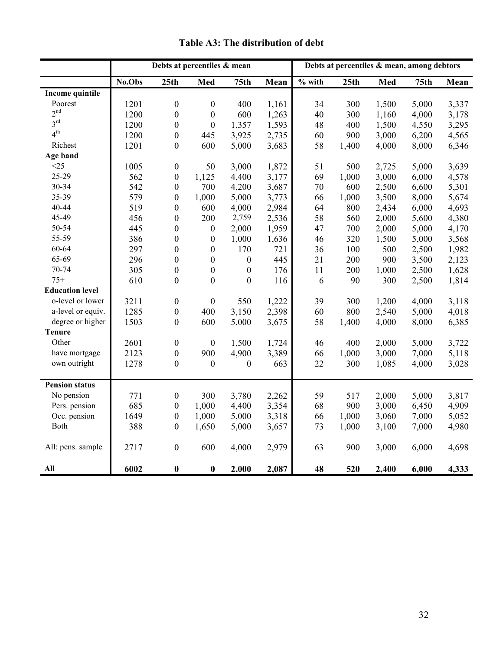|                        |        |                  | Debts at percentiles & mean |                  |       |          |       | Debts at percentiles & mean, among debtors |                  |       |
|------------------------|--------|------------------|-----------------------------|------------------|-------|----------|-------|--------------------------------------------|------------------|-------|
|                        | No.Obs | 25th             | Med                         | 75 <sub>th</sub> | Mean  | $%$ with | 25th  | Med                                        | 75 <sub>th</sub> | Mean  |
| <b>Income quintile</b> |        |                  |                             |                  |       |          |       |                                            |                  |       |
| Poorest                | 1201   | $\boldsymbol{0}$ | $\boldsymbol{0}$            | 400              | 1,161 | 34       | 300   | 1,500                                      | 5,000            | 3,337 |
| 2 <sup>nd</sup>        | 1200   | $\boldsymbol{0}$ | $\boldsymbol{0}$            | 600              | 1,263 | 40       | 300   | 1,160                                      | 4,000            | 3,178 |
| 3 <sup>rd</sup>        | 1200   | $\boldsymbol{0}$ | $\boldsymbol{0}$            | 1,357            | 1,593 | 48       | 400   | 1,500                                      | 4,550            | 3,295 |
| 4 <sup>th</sup>        | 1200   | $\boldsymbol{0}$ | 445                         | 3,925            | 2,735 | 60       | 900   | 3,000                                      | 6,200            | 4,565 |
| Richest                | 1201   | $\boldsymbol{0}$ | 600                         | 5,000            | 3,683 | 58       | 1,400 | 4,000                                      | 8,000            | 6,346 |
| Age band               |        |                  |                             |                  |       |          |       |                                            |                  |       |
| $<$ 25                 | 1005   | $\boldsymbol{0}$ | 50                          | 3,000            | 1,872 | 51       | 500   | 2,725                                      | 5,000            | 3,639 |
| 25-29                  | 562    | $\boldsymbol{0}$ | 1,125                       | 4,400            | 3,177 | 69       | 1,000 | 3,000                                      | 6,000            | 4,578 |
| 30-34                  | 542    | $\boldsymbol{0}$ | 700                         | 4,200            | 3,687 | 70       | 600   | 2,500                                      | 6,600            | 5,301 |
| 35-39                  | 579    | $\boldsymbol{0}$ | 1,000                       | 5,000            | 3,773 | 66       | 1,000 | 3,500                                      | 8,000            | 5,674 |
| 40-44                  | 519    | $\boldsymbol{0}$ | 600                         | 4,000            | 2,984 | 64       | 800   | 2,434                                      | 6,000            | 4,693 |
| 45-49                  | 456    | $\boldsymbol{0}$ | 200                         | 2,759            | 2,536 | 58       | 560   | 2,000                                      | 5,600            | 4,380 |
| 50-54                  | 445    | $\boldsymbol{0}$ | $\boldsymbol{0}$            | 2,000            | 1,959 | 47       | 700   | 2,000                                      | 5,000            | 4,170 |
| 55-59                  | 386    | $\boldsymbol{0}$ | $\boldsymbol{0}$            | 1,000            | 1,636 | 46       | 320   | 1,500                                      | 5,000            | 3,568 |
| 60-64                  | 297    | $\boldsymbol{0}$ | $\boldsymbol{0}$            | 170              | 721   | 36       | 100   | 500                                        | 2,500            | 1,982 |
| 65-69                  | 296    | $\boldsymbol{0}$ | $\boldsymbol{0}$            | $\boldsymbol{0}$ | 445   | 21       | 200   | 900                                        | 3,500            | 2,123 |
| 70-74                  | 305    | $\boldsymbol{0}$ | $\boldsymbol{0}$            | $\boldsymbol{0}$ | 176   | 11       | 200   | 1,000                                      | 2,500            | 1,628 |
| $75+$                  | 610    | $\boldsymbol{0}$ | $\boldsymbol{0}$            | $\boldsymbol{0}$ | 116   | 6        | 90    | 300                                        | 2,500            | 1,814 |
| <b>Education level</b> |        |                  |                             |                  |       |          |       |                                            |                  |       |
| o-level or lower       | 3211   | $\boldsymbol{0}$ | $\boldsymbol{0}$            | 550              | 1,222 | 39       | 300   | 1,200                                      | 4,000            | 3,118 |
| a-level or equiv.      | 1285   | $\boldsymbol{0}$ | 400                         | 3,150            | 2,398 | 60       | 800   | 2,540                                      | 5,000            | 4,018 |
| degree or higher       | 1503   | $\boldsymbol{0}$ | 600                         | 5,000            | 3,675 | 58       | 1,400 | 4,000                                      | 8,000            | 6,385 |
| <b>Tenure</b>          |        |                  |                             |                  |       |          |       |                                            |                  |       |
| Other                  | 2601   | $\boldsymbol{0}$ | $\boldsymbol{0}$            | 1,500            | 1,724 | 46       | 400   | 2,000                                      | 5,000            | 3,722 |
| have mortgage          | 2123   | $\boldsymbol{0}$ | 900                         | 4,900            | 3,389 | 66       | 1,000 | 3,000                                      | 7,000            | 5,118 |
| own outright           | 1278   | $\boldsymbol{0}$ | $\mathbf{0}$                | $\boldsymbol{0}$ | 663   | 22       | 300   | 1,085                                      | 4,000            | 3,028 |
| <b>Pension status</b>  |        |                  |                             |                  |       |          |       |                                            |                  |       |
| No pension             | 771    | $\boldsymbol{0}$ | 300                         | 3,780            | 2,262 | 59       | 517   | 2,000                                      | 5,000            | 3,817 |
| Pers. pension          | 685    | $\boldsymbol{0}$ | 1,000                       | 4,400            | 3,354 | 68       | 900   | 3,000                                      | 6,450            | 4,909 |
| Occ. pension           | 1649   | $\boldsymbol{0}$ | 1,000                       | 5,000            | 3,318 | 66       | 1,000 | 3,060                                      | 7,000            | 5,052 |
| Both                   | 388    | $\boldsymbol{0}$ | 1,650                       | 5,000            | 3,657 | 73       | 1,000 | 3,100                                      | 7,000            | 4,980 |
| All: pens. sample      | 2717   | $\boldsymbol{0}$ | 600                         | 4,000            | 2,979 | 63       | 900   | 3,000                                      | 6,000            | 4,698 |
| All                    | 6002   | $\bf{0}$         | $\boldsymbol{0}$            | 2,000            | 2,087 | 48       | 520   | 2,400                                      | 6,000            | 4,333 |

**Table A3: The distribution of debt**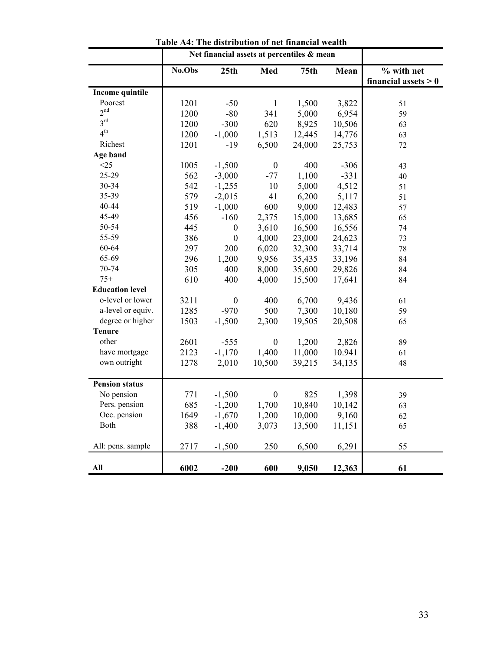|                        |        |                  | Net financial assets at percentiles & mean |                  |        |                        |
|------------------------|--------|------------------|--------------------------------------------|------------------|--------|------------------------|
|                        | No.Obs | 25th             | Med                                        | 75 <sub>th</sub> | Mean   | % with net             |
|                        |        |                  |                                            |                  |        | financial assets $> 0$ |
| Income quintile        |        |                  |                                            |                  |        |                        |
| Poorest                | 1201   | $-50$            | $\mathbf{1}$                               | 1,500            | 3,822  | 51                     |
| 2 <sup>nd</sup>        | 1200   | $-80$            | 341                                        | 5,000            | 6,954  | 59                     |
| 3 <sup>rd</sup>        | 1200   | $-300$           | 620                                        | 8,925            | 10,506 | 63                     |
| 4 <sup>th</sup>        | 1200   | $-1,000$         | 1,513                                      | 12,445           | 14,776 | 63                     |
| Richest                | 1201   | $-19$            | 6,500                                      | 24,000           | 25,753 | 72                     |
| Age band               |        |                  |                                            |                  |        |                        |
| <25                    | 1005   | $-1,500$         | $\boldsymbol{0}$                           | 400              | $-306$ | 43                     |
| 25-29                  | 562    | $-3,000$         | $-77$                                      | 1,100            | $-331$ | 40                     |
| 30-34                  | 542    | $-1,255$         | 10                                         | 5,000            | 4,512  | 51                     |
| 35-39                  | 579    | $-2,015$         | 41                                         | 6,200            | 5,117  | 51                     |
| 40-44                  | 519    | $-1,000$         | 600                                        | 9,000            | 12,483 | 57                     |
| 45-49                  | 456    | $-160$           | 2,375                                      | 15,000           | 13,685 | 65                     |
| 50-54                  | 445    | $\boldsymbol{0}$ | 3,610                                      | 16,500           | 16,556 | 74                     |
| 55-59                  | 386    | $\boldsymbol{0}$ | 4,000                                      | 23,000           | 24,623 | 73                     |
| 60-64                  | 297    | 200              | 6,020                                      | 32,300           | 33,714 | 78                     |
| 65-69                  | 296    | 1,200            | 9,956                                      | 35,435           | 33,196 | 84                     |
| 70-74                  | 305    | 400              | 8,000                                      | 35,600           | 29,826 | 84                     |
| $75+$                  | 610    | 400              | 4,000                                      | 15,500           | 17,641 | 84                     |
| <b>Education level</b> |        |                  |                                            |                  |        |                        |
| o-level or lower       | 3211   | $\boldsymbol{0}$ | 400                                        | 6,700            | 9,436  | 61                     |
| a-level or equiv.      | 1285   | $-970$           | 500                                        | 7,300            | 10,180 | 59                     |
| degree or higher       | 1503   | $-1,500$         | 2,300                                      | 19,505           | 20,508 | 65                     |
| <b>Tenure</b>          |        |                  |                                            |                  |        |                        |
| other                  | 2601   | $-555$           | $\boldsymbol{0}$                           | 1,200            | 2,826  | 89                     |
| have mortgage          | 2123   | $-1,170$         | 1,400                                      | 11,000           | 10.941 | 61                     |
| own outright           | 1278   | 2,010            | 10,500                                     | 39,215           | 34,135 | 48                     |
|                        |        |                  |                                            |                  |        |                        |
| <b>Pension status</b>  |        |                  |                                            |                  |        |                        |
| No pension             | 771    | $-1,500$         | $\boldsymbol{0}$                           | 825              | 1,398  | 39                     |
| Pers. pension          | 685    | $-1,200$         | 1,700                                      | 10,840           | 10,142 | 63                     |
| Occ. pension           | 1649   | $-1,670$         | 1,200                                      | 10,000           | 9,160  | 62                     |
| Both                   | 388    | $-1,400$         | 3,073                                      | 13,500           | 11,151 | 65                     |
|                        |        |                  |                                            |                  |        |                        |
| All: pens. sample      | 2717   | $-1,500$         | 250                                        | 6,500            | 6,291  | 55                     |
| All                    | 6002   | $-200$           | 600                                        | 9,050            | 12,363 | 61                     |

**Table A4: The distribution of net financial wealth**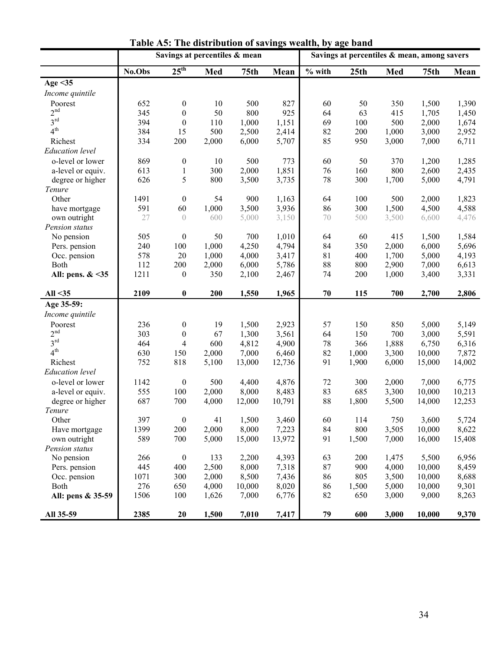|                        | Savings at percentiles & mean | Savings at percentiles & mean, among savers |       |                  |        |          |       |       |        |        |
|------------------------|-------------------------------|---------------------------------------------|-------|------------------|--------|----------|-------|-------|--------|--------|
|                        | No.Obs                        | 25 <sup>th</sup>                            | Med   | 75 <sub>th</sub> | Mean   | $%$ with | 25th  | Med   | 75th   | Mean   |
| Age $<$ 35             |                               |                                             |       |                  |        |          |       |       |        |        |
| Income quintile        |                               |                                             |       |                  |        |          |       |       |        |        |
| Poorest                | 652                           | $\boldsymbol{0}$                            | 10    | 500              | 827    | 60       | 50    | 350   | 1,500  | 1,390  |
| 2 <sup>nd</sup>        | 345                           | $\boldsymbol{0}$                            | 50    | 800              | 925    | 64       | 63    | 415   | 1,705  | 1,450  |
| 3 <sup>rd</sup>        | 394                           | $\boldsymbol{0}$                            | 110   | 1,000            | 1,151  | 69       | 100   | 500   | 2,000  | 1,674  |
| 4 <sup>th</sup>        | 384                           | 15                                          | 500   | 2,500            | 2,414  | 82       | 200   | 1,000 | 3,000  | 2,952  |
| Richest                | 334                           | 200                                         | 2,000 | 6,000            | 5,707  | 85       | 950   | 3,000 | 7,000  | 6,711  |
| <b>Education</b> level |                               |                                             |       |                  |        |          |       |       |        |        |
| o-level or lower       | 869                           | $\boldsymbol{0}$                            | 10    | 500              | 773    | 60       | 50    | 370   | 1,200  | 1,285  |
| a-level or equiv.      | 613                           | $\,1$                                       | 300   | 2,000            | 1,851  | 76       | 160   | 800   | 2,600  | 2,435  |
| degree or higher       | 626                           | 5                                           | 800   | 3,500            | 3,735  | 78       | 300   | 1,700 | 5,000  | 4,791  |
| Tenure                 |                               |                                             |       |                  |        |          |       |       |        |        |
| Other                  | 1491                          | $\boldsymbol{0}$                            | 54    | 900              | 1,163  | 64       | 100   | 500   | 2,000  | 1,823  |
| have mortgage          | 591                           | 60                                          | 1,000 | 3,500            | 3,936  | 86       | 300   | 1,500 | 4,500  | 4,588  |
| own outright           | 27                            | $\sqrt{ }$                                  | 600   | 5,000            | 3,150  | 70       | 500   | 3,500 | 6,600  | 4,476  |
| Pension status         |                               |                                             |       |                  |        |          |       |       |        |        |
| No pension             | 505                           | $\boldsymbol{0}$                            | 50    | 700              | 1,010  | 64       | 60    | 415   | 1,500  | 1,584  |
| Pers. pension          | 240                           | 100                                         | 1,000 | 4,250            | 4,794  | 84       | 350   | 2,000 | 6,000  | 5,696  |
| Occ. pension           | 578                           | 20                                          | 1,000 | 4,000            | 3,417  | 81       | 400   | 1,700 | 5,000  | 4,193  |
| Both                   | 112                           | 200                                         | 2,000 | 6,000            | 5,786  | 88       | 800   | 2,900 | 7,000  | 6,613  |
| All: pens. & <35       | 1211                          | $\boldsymbol{0}$                            | 350   | 2,100            | 2,467  | 74       | 200   | 1,000 | 3,400  | 3,331  |
|                        |                               |                                             |       |                  |        |          |       |       |        |        |
| All $35$               | 2109                          | $\pmb{0}$                                   | 200   | 1,550            | 1,965  | 70       | 115   | 700   | 2,700  | 2,806  |
| Age 35-59:             |                               |                                             |       |                  |        |          |       |       |        |        |
| Income quintile        |                               |                                             |       |                  |        |          |       |       |        |        |
| Poorest                | 236                           | $\boldsymbol{0}$                            | 19    | 1,500            | 2,923  | 57       | 150   | 850   | 5,000  | 5,149  |
| 2 <sup>nd</sup>        | 303                           | $\boldsymbol{0}$                            | 67    | 1,300            | 3,561  | 64       | 150   | 700   | 3,000  | 5,591  |
| 3 <sup>rd</sup>        | 464                           | $\overline{4}$                              | 600   | 4,812            | 4,900  | 78       | 366   | 1,888 | 6,750  | 6,316  |
| 4 <sup>th</sup>        | 630                           | 150                                         | 2,000 | 7,000            | 6,460  | 82       | 1,000 | 3,300 | 10,000 | 7,872  |
| Richest                | 752                           | 818                                         | 5,100 | 13,000           | 12,736 | 91       | 1,900 | 6,000 | 15,000 | 14,002 |
| <b>Education</b> level |                               |                                             |       |                  |        |          |       |       |        |        |
| o-level or lower       | 1142                          | $\boldsymbol{0}$                            | 500   | 4,400            | 4,876  | 72       | 300   | 2,000 | 7,000  | 6,775  |
| a-level or equiv.      | 555                           | 100                                         | 2,000 | 8,000            | 8,483  | 83       | 685   | 3,300 | 10,000 | 10,213 |
| degree or higher       | 687                           | 700                                         | 4,000 | 12,000           | 10,791 | 88       | 1,800 | 5,500 | 14,000 | 12,253 |
| Tenure                 |                               |                                             |       |                  |        |          |       |       |        |        |
| Other                  | 397                           | $\boldsymbol{0}$                            | 41    | 1,500            | 3,460  | 60       | 114   | 750   | 3,600  | 5,724  |
| Have mortgage          | 1399                          | 200                                         | 2,000 | 8,000            | 7,223  | 84       | 800   | 3,505 | 10,000 | 8,622  |
| own outright           | 589                           | 700                                         | 5,000 | 15,000           | 13,972 | 91       | 1,500 | 7,000 | 16,000 | 15,408 |
| Pension status         |                               |                                             |       |                  |        |          |       |       |        |        |
| No pension             | 266                           | $\boldsymbol{0}$                            | 133   | 2,200            | 4,393  | 63       | 200   | 1,475 | 5,500  | 6,956  |
| Pers. pension          | 445                           | 400                                         | 2,500 | 8,000            | 7,318  | 87       | 900   | 4,000 | 10,000 | 8,459  |
| Occ. pension           | 1071                          | 300                                         | 2,000 | 8,500            | 7,436  | 86       | 805   | 3,500 | 10,000 | 8,688  |
| Both                   | 276                           | 650                                         | 4,000 | 10,000           | 8,020  | 86       | 1,500 | 5,000 | 10,000 | 9,301  |
| All: pens & 35-59      | 1506                          | 100                                         | 1,626 | 7,000            | 6,776  | 82       | 650   | 3,000 | 9,000  | 8,263  |
| All 35-59              | 2385                          | 20                                          | 1,500 | 7,010            | 7,417  | 79       | 600   | 3,000 | 10,000 | 9,370  |

**Table A5: The distribution of savings wealth, by age band**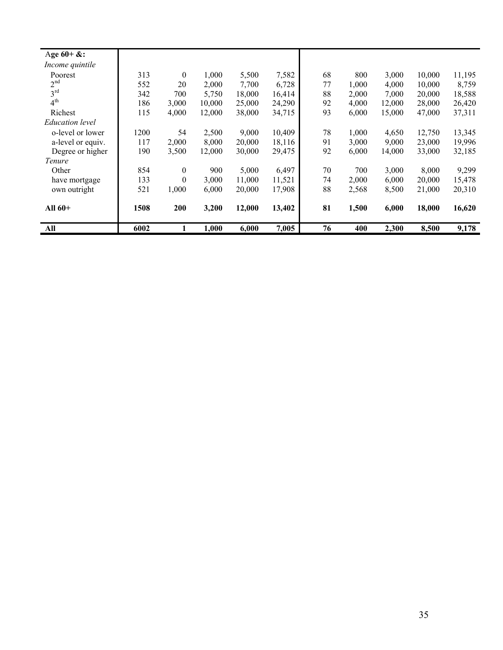| Age $60 +$ &:     |      |                  |        |        |        |    |       |        |        |        |
|-------------------|------|------------------|--------|--------|--------|----|-------|--------|--------|--------|
| Income quintile   |      |                  |        |        |        |    |       |        |        |        |
| Poorest           | 313  | $\mathbf{0}$     | 1,000  | 5,500  | 7,582  | 68 | 800   | 3,000  | 10,000 | 11,195 |
| 2 <sup>nd</sup>   | 552  | 20               | 2,000  | 7,700  | 6,728  | 77 | 1,000 | 4,000  | 10,000 | 8,759  |
| 3 <sup>rd</sup>   | 342  | 700              | 5,750  | 18,000 | 16,414 | 88 | 2,000 | 7,000  | 20,000 | 18,588 |
| 4 <sup>th</sup>   | 186  | 3,000            | 10,000 | 25,000 | 24,290 | 92 | 4,000 | 12,000 | 28,000 | 26,420 |
| Richest           | 115  | 4,000            | 12,000 | 38,000 | 34,715 | 93 | 6,000 | 15,000 | 47,000 | 37,311 |
| Education level   |      |                  |        |        |        |    |       |        |        |        |
| o-level or lower  | 1200 | 54               | 2,500  | 9.000  | 10,409 | 78 | 1.000 | 4,650  | 12,750 | 13,345 |
| a-level or equiv. | 117  | 2,000            | 8,000  | 20,000 | 18,116 | 91 | 3,000 | 9,000  | 23,000 | 19,996 |
| Degree or higher  | 190  | 3,500            | 12,000 | 30,000 | 29,475 | 92 | 6,000 | 14,000 | 33,000 | 32,185 |
| Tenure            |      |                  |        |        |        |    |       |        |        |        |
| Other             | 854  | $\mathbf{0}$     | 900    | 5,000  | 6,497  | 70 | 700   | 3,000  | 8,000  | 9,299  |
| have mortgage     | 133  | $\boldsymbol{0}$ | 3,000  | 11,000 | 11,521 | 74 | 2,000 | 6,000  | 20,000 | 15,478 |
| own outright      | 521  | 1,000            | 6,000  | 20,000 | 17,908 | 88 | 2,568 | 8,500  | 21,000 | 20,310 |
| All $60+$         | 1508 | 200              | 3,200  | 12,000 | 13,402 | 81 | 1,500 | 6,000  | 18,000 | 16,620 |
| All               | 6002 |                  | 1,000  | 6,000  | 7,005  | 76 | 400   | 2,300  | 8,500  | 9,178  |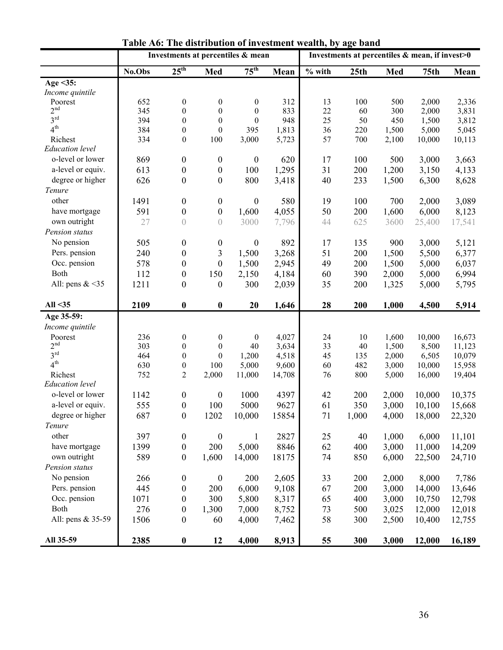|                        | Investments at percentiles & mean |                  | Investments at percentiles & mean, if invest>0 |                  |        |          |       |       |                  |        |
|------------------------|-----------------------------------|------------------|------------------------------------------------|------------------|--------|----------|-------|-------|------------------|--------|
|                        | No.Obs                            | $25^{\text{th}}$ | Med                                            | $75^{\text{th}}$ | Mean   | $%$ with | 25th  | Med   | 75 <sub>th</sub> | Mean   |
| Age $\leq$ 35:         |                                   |                  |                                                |                  |        |          |       |       |                  |        |
| Income quintile        |                                   |                  |                                                |                  |        |          |       |       |                  |        |
| Poorest                | 652                               | $\boldsymbol{0}$ | $\boldsymbol{0}$                               | $\boldsymbol{0}$ | 312    | 13       | 100   | 500   | 2,000            | 2,336  |
| 2 <sup>nd</sup>        | 345                               | $\boldsymbol{0}$ | $\boldsymbol{0}$                               | $\boldsymbol{0}$ | 833    | 22       | 60    | 300   | 2,000            | 3,831  |
| 3 <sup>rd</sup>        | 394                               | $\boldsymbol{0}$ | $\boldsymbol{0}$                               | $\theta$         | 948    | 25       | 50    | 450   | 1,500            | 3,812  |
| 4 <sup>th</sup>        | 384                               | $\boldsymbol{0}$ | $\boldsymbol{0}$                               | 395              | 1,813  | 36       | 220   | 1,500 | 5,000            | 5,045  |
| Richest                | 334                               | $\boldsymbol{0}$ | 100                                            | 3,000            | 5,723  | 57       | 700   | 2,100 | 10,000           | 10,113 |
| <b>Education</b> level |                                   |                  |                                                |                  |        |          |       |       |                  |        |
| o-level or lower       | 869                               | $\boldsymbol{0}$ | $\boldsymbol{0}$                               | $\boldsymbol{0}$ | 620    | 17       | 100   | 500   | 3,000            | 3,663  |
| a-level or equiv.      | 613                               | $\boldsymbol{0}$ | $\boldsymbol{0}$                               | 100              | 1,295  | 31       | 200   | 1,200 | 3,150            | 4,133  |
| degree or higher       | 626                               | $\boldsymbol{0}$ | $\boldsymbol{0}$                               | 800              | 3,418  | 40       | 233   | 1,500 | 6,300            | 8,628  |
| Tenure                 |                                   |                  |                                                |                  |        |          |       |       |                  |        |
| other                  | 1491                              | $\boldsymbol{0}$ | $\boldsymbol{0}$                               | $\boldsymbol{0}$ | 580    | 19       | 100   | 700   | 2,000            | 3,089  |
| have mortgage          | 591                               | $\boldsymbol{0}$ | $\boldsymbol{0}$                               | 1,600            | 4,055  | 50       | 200   | 1,600 | 6,000            | 8,123  |
| own outright           | 27                                | $\left( \right)$ | $\overline{0}$                                 | 3000             | 7,796  | 44       | 625   | 3600  | 25,400           | 17,541 |
| Pension status         |                                   |                  |                                                |                  |        |          |       |       |                  |        |
| No pension             | 505                               | $\boldsymbol{0}$ | 0                                              | $\boldsymbol{0}$ | 892    | 17       | 135   | 900   | 3,000            | 5,121  |
| Pers. pension          | 240                               | $\boldsymbol{0}$ | 3                                              | 1,500            | 3,268  | 51       | 200   | 1,500 | 5,500            | 6,377  |
| Occ. pension           | 578                               | $\boldsymbol{0}$ | $\boldsymbol{0}$                               | 1,500            | 2,945  | 49       | 200   | 1,500 | 5,000            | 6,037  |
| Both                   | 112                               | $\boldsymbol{0}$ | 150                                            | 2,150            | 4,184  | 60       | 390   | 2,000 | 5,000            | 6,994  |
| All: pens $<35$        | 1211                              | $\boldsymbol{0}$ | $\boldsymbol{0}$                               | 300              | 2,039  | 35       | 200   | 1,325 | 5,000            | 5,795  |
|                        |                                   |                  |                                                |                  |        |          |       |       |                  |        |
| All $35$               | 2109                              | $\boldsymbol{0}$ | $\boldsymbol{0}$                               | 20               | 1,646  | 28       | 200   | 1,000 | 4,500            | 5,914  |
| Age 35-59:             |                                   |                  |                                                |                  |        |          |       |       |                  |        |
| Income quintile        |                                   |                  |                                                |                  |        |          |       |       |                  |        |
| Poorest                | 236                               | $\boldsymbol{0}$ | $\boldsymbol{0}$                               | $\mathbf{0}$     | 4,027  | 24       | 10    | 1,600 | 10,000           | 16,673 |
| 2 <sup>nd</sup>        | 303                               | $\boldsymbol{0}$ | $\boldsymbol{0}$                               | 40               | 3,634  | 33       | 40    | 1,500 | 8,500            | 11,123 |
| 3 <sup>rd</sup>        | 464                               | $\boldsymbol{0}$ | $\boldsymbol{0}$                               | 1,200            | 4,518  | 45       | 135   | 2,000 | 6,505            | 10,079 |
| $4^{\rm th}$           | 630                               | $\boldsymbol{0}$ | 100                                            | 5,000            | 9,600  | 60       | 482   | 3,000 | 10,000           | 15,958 |
| Richest                | 752                               | $\overline{c}$   | 2,000                                          | 11,000           | 14,708 | 76       | 800   | 5,000 | 16,000           | 19,404 |
| <b>Education</b> level |                                   |                  |                                                |                  |        |          |       |       |                  |        |
| o-level or lower       | 1142                              | $\boldsymbol{0}$ | $\boldsymbol{0}$                               | 1000             | 4397   | 42       | 200   | 2,000 | 10,000           | 10,375 |
| a-level or equiv.      | 555                               | $\boldsymbol{0}$ | 100                                            | 5000             | 9627   | 61       | 350   | 3,000 | 10,100           | 15,668 |
| degree or higher       | 687                               | $\boldsymbol{0}$ | 1202                                           | 10,000           | 15854  | 71       | 1,000 | 4,000 | 18,000           | 22,320 |
| Tenure                 |                                   |                  |                                                |                  |        |          |       |       |                  |        |
| other                  | 397                               | $\boldsymbol{0}$ | $\boldsymbol{0}$                               | $\mathbf{1}$     | 2827   | 25       | 40    | 1,000 | 6,000            | 11,101 |
| have mortgage          | 1399                              | $\boldsymbol{0}$ | 200                                            | 5,000            | 8846   | 62       | 400   | 3,000 | 11,000           | 14,209 |
| own outright           | 589                               | $\boldsymbol{0}$ | 1,600                                          | 14,000           | 18175  | 74       | 850   | 6,000 | 22,500           | 24,710 |
| Pension status         |                                   |                  |                                                |                  |        |          |       |       |                  |        |
| No pension             | 266                               | $\boldsymbol{0}$ | $\boldsymbol{0}$                               | 200              | 2,605  | 33       | 200   | 2,000 | 8,000            | 7,786  |
| Pers. pension          | 445                               | $\boldsymbol{0}$ | 200                                            | 6,000            | 9,108  | 67       | 200   | 3,000 | 14,000           | 13,646 |
| Occ. pension           | 1071                              | $\boldsymbol{0}$ | 300                                            | 5,800            | 8,317  | 65       | 400   | 3,000 | 10,750           | 12,798 |
| Both                   | 276                               | $\boldsymbol{0}$ | 1,300                                          | 7,000            | 8,752  | 73       | 500   | 3,025 | 12,000           | 12,018 |
| All: pens & 35-59      | 1506                              | $\boldsymbol{0}$ | 60                                             | 4,000            | 7,462  | 58       | 300   | 2,500 | 10,400           | 12,755 |
| All 35-59              |                                   | $\boldsymbol{0}$ |                                                |                  |        |          |       |       |                  |        |
|                        | 2385                              |                  | 12                                             | 4,000            | 8,913  | 55       | 300   | 3,000 | 12,000           | 16,189 |

**Table A6: The distribution of investment wealth, by age band**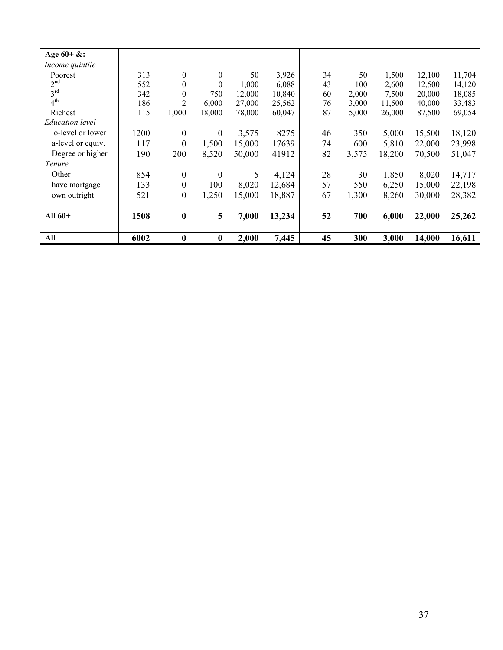| Age $60 + \&$ :        |      |                  |                  |        |        |    |       |        |        |        |
|------------------------|------|------------------|------------------|--------|--------|----|-------|--------|--------|--------|
| Income quintile        |      |                  |                  |        |        |    |       |        |        |        |
| Poorest                | 313  | $\boldsymbol{0}$ | $\mathbf{0}$     | 50     | 3,926  | 34 | 50    | 1,500  | 12,100 | 11,704 |
| 2 <sup>nd</sup>        | 552  | $\theta$         | $\theta$         | 1,000  | 6,088  | 43 | 100   | 2,600  | 12,500 | 14,120 |
| 3 <sup>rd</sup>        | 342  | $\mathbf{0}$     | 750              | 12,000 | 10,840 | 60 | 2,000 | 7,500  | 20,000 | 18,085 |
| 4 <sup>th</sup>        | 186  | $\overline{2}$   | 6,000            | 27,000 | 25,562 | 76 | 3,000 | 11,500 | 40,000 | 33,483 |
| Richest                | 115  | 1,000            | 18,000           | 78,000 | 60,047 | 87 | 5,000 | 26,000 | 87,500 | 69,054 |
| <i>Education level</i> |      |                  |                  |        |        |    |       |        |        |        |
| o-level or lower       | 1200 | $\boldsymbol{0}$ | $\mathbf{0}$     | 3,575  | 8275   | 46 | 350   | 5,000  | 15,500 | 18,120 |
| a-level or equiv.      | 117  | $\overline{0}$   | 1,500            | 15,000 | 17639  | 74 | 600   | 5,810  | 22,000 | 23,998 |
| Degree or higher       | 190  | 200              | 8,520            | 50,000 | 41912  | 82 | 3,575 | 18,200 | 70,500 | 51,047 |
| Tenure                 |      |                  |                  |        |        |    |       |        |        |        |
| Other                  | 854  | $\boldsymbol{0}$ | $\overline{0}$   | 5      | 4,124  | 28 | 30    | 1,850  | 8,020  | 14,717 |
| have mortgage          | 133  | $\boldsymbol{0}$ | 100              | 8,020  | 12,684 | 57 | 550   | 6,250  | 15,000 | 22,198 |
| own outright           | 521  | $\boldsymbol{0}$ | 1,250            | 15,000 | 18,887 | 67 | 1,300 | 8,260  | 30,000 | 28,382 |
|                        |      |                  |                  |        |        |    |       |        |        |        |
| All $60+$              | 1508 | $\bf{0}$         | 5                | 7,000  | 13,234 | 52 | 700   | 6,000  | 22,000 | 25,262 |
|                        |      |                  |                  |        |        |    |       |        |        |        |
| All                    | 6002 | $\bf{0}$         | $\boldsymbol{0}$ | 2,000  | 7,445  | 45 | 300   | 3,000  | 14,000 | 16,611 |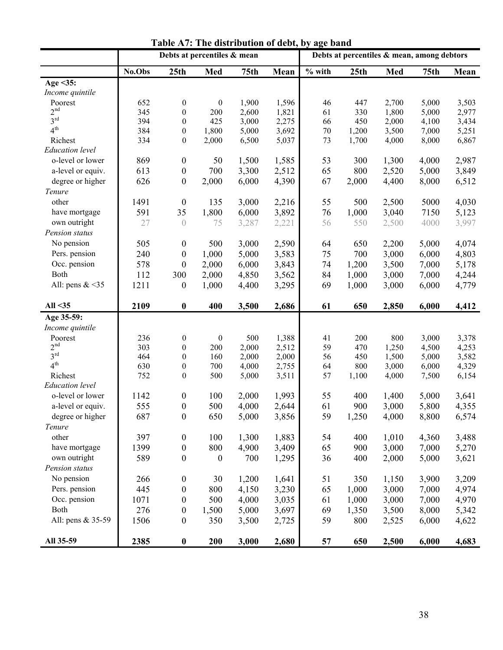|                        |        | Debts at percentiles & mean   | Debts at percentiles & mean, among debtors |                  |       |          |       |       |             |       |
|------------------------|--------|-------------------------------|--------------------------------------------|------------------|-------|----------|-------|-------|-------------|-------|
|                        | No.Obs | 25th                          | Med                                        | 75 <sub>th</sub> | Mean  | $%$ with | 25th  | Med   | <b>75th</b> | Mean  |
| Age $\leq$ 35:         |        |                               |                                            |                  |       |          |       |       |             |       |
| Income quintile        |        |                               |                                            |                  |       |          |       |       |             |       |
| Poorest                | 652    | $\boldsymbol{0}$              | $\boldsymbol{0}$                           | 1,900            | 1,596 | 46       | 447   | 2,700 | 5,000       | 3,503 |
| 2 <sup>nd</sup>        | 345    | $\boldsymbol{0}$              | 200                                        | 2,600            | 1,821 | 61       | 330   | 1,800 | 5,000       | 2,977 |
| 3 <sup>rd</sup>        | 394    | $\boldsymbol{0}$              | 425                                        | 3,000            | 2,275 | 66       | 450   | 2,000 | 4,100       | 3,434 |
| 4 <sup>th</sup>        | 384    | $\boldsymbol{0}$              | 1,800                                      | 5,000            | 3,692 | 70       | 1,200 | 3,500 | 7,000       | 5,251 |
| Richest                | 334    | $\boldsymbol{0}$              | 2,000                                      | 6,500            | 5,037 | 73       | 1,700 | 4,000 | 8,000       | 6,867 |
| <b>Education</b> level |        |                               |                                            |                  |       |          |       |       |             |       |
| o-level or lower       | 869    | $\boldsymbol{0}$              | 50                                         | 1,500            | 1,585 | 53       | 300   | 1,300 | 4,000       | 2,987 |
| a-level or equiv.      | 613    | $\boldsymbol{0}$              | 700                                        | 3,300            | 2,512 | 65       | 800   | 2,520 | 5,000       | 3,849 |
| degree or higher       | 626    | $\boldsymbol{0}$              | 2,000                                      | 6,000            | 4,390 | 67       | 2,000 | 4,400 | 8,000       | 6,512 |
| Tenure                 |        |                               |                                            |                  |       |          |       |       |             |       |
| other                  | 1491   | $\boldsymbol{0}$              | 135                                        | 3,000            | 2,216 | 55       | 500   | 2,500 | 5000        | 4,030 |
| have mortgage          | 591    | 35                            | 1,800                                      | 6,000            | 3,892 | 76       | 1,000 | 3,040 | 7150        | 5,123 |
| own outright           | 27     | $\begin{matrix} \end{matrix}$ | 75                                         | 3,287            | 2,221 | 56       | 550   | 2,500 | 4000        | 3,997 |
| Pension status         |        |                               |                                            |                  |       |          |       |       |             |       |
| No pension             | 505    | $\boldsymbol{0}$              | 500                                        | 3,000            | 2,590 | 64       | 650   | 2,200 | 5,000       | 4,074 |
| Pers. pension          | 240    | $\boldsymbol{0}$              | 1,000                                      | 5,000            | 3,583 | 75       | 700   | 3,000 | 6,000       | 4,803 |
| Occ. pension           | 578    | $\boldsymbol{0}$              | 2,000                                      | 6,000            | 3,843 | 74       | 1,200 | 3,500 | 7,000       | 5,178 |
| Both                   | 112    | 300                           | 2,000                                      | 4,850            | 3,562 | 84       | 1,000 | 3,000 | 7,000       | 4,244 |
| All: pens $<35$        | 1211   | $\boldsymbol{0}$              | 1,000                                      | 4,400            | 3,295 | 69       | 1,000 | 3,000 | 6,000       | 4,779 |
|                        |        |                               |                                            |                  |       |          |       |       |             |       |
| All $35$               | 2109   | $\pmb{0}$                     | 400                                        | 3,500            | 2,686 | 61       | 650   | 2,850 | 6,000       | 4,412 |
| Age 35-59:             |        |                               |                                            |                  |       |          |       |       |             |       |
| Income quintile        |        |                               |                                            |                  |       |          |       |       |             |       |
| Poorest                | 236    | $\boldsymbol{0}$              | $\boldsymbol{0}$                           | 500              | 1,388 | 41       | 200   | 800   | 3,000       | 3,378 |
| 2 <sup>nd</sup>        | 303    | $\boldsymbol{0}$              | 200                                        | 2,000            | 2,512 | 59       | 470   | 1,250 | 4,500       | 4,253 |
| 3 <sup>rd</sup>        | 464    | $\boldsymbol{0}$              | 160                                        | 2,000            | 2,000 | 56       | 450   | 1,500 | 5,000       | 3,582 |
| 4 <sup>th</sup>        | 630    | $\boldsymbol{0}$              | 700                                        | 4,000            | 2,755 | 64       | 800   | 3,000 | 6,000       | 4,329 |
| Richest                | 752    | $\boldsymbol{0}$              | 500                                        | 5,000            | 3,511 | 57       | 1,100 | 4,000 | 7,500       | 6,154 |
| <b>Education</b> level |        |                               |                                            |                  |       |          |       |       |             |       |
| o-level or lower       | 1142   | $\boldsymbol{0}$              | 100                                        | 2,000            | 1,993 | 55       | 400   | 1,400 | 5,000       | 3,641 |
| a-level or equiv.      | 555    | $\boldsymbol{0}$              | 500                                        | 4,000            | 2,644 | 61       | 900   | 3,000 | 5,800       | 4,355 |
| degree or higher       | 687    | $\boldsymbol{0}$              | 650                                        | 5,000            | 3,856 | 59       | 1,250 | 4,000 | 8,800       | 6,574 |
| Tenure                 |        |                               |                                            |                  |       |          |       |       |             |       |
| other                  | 397    | $\boldsymbol{0}$              | 100                                        | 1,300            | 1,883 | 54       | 400   | 1,010 | 4,360       | 3,488 |
| have mortgage          | 1399   | $\boldsymbol{0}$              | 800                                        | 4,900            | 3,409 | 65       | 900   | 3,000 | 7,000       | 5,270 |
| own outright           | 589    | $\boldsymbol{0}$              | $\boldsymbol{0}$                           | 700              | 1,295 | 36       | 400   | 2,000 | 5,000       | 3,621 |
| Pension status         |        |                               |                                            |                  |       |          |       |       |             |       |
| No pension             | 266    | $\boldsymbol{0}$              | 30                                         | 1,200            | 1,641 | 51       | 350   | 1,150 | 3,900       | 3,209 |
| Pers. pension          | 445    | $\boldsymbol{0}$              | 800                                        | 4,150            | 3,230 | 65       | 1,000 | 3,000 | 7,000       | 4,974 |
| Occ. pension           | 1071   | $\boldsymbol{0}$              | 500                                        | 4,000            | 3,035 | 61       | 1,000 | 3,000 | 7,000       | 4,970 |
| Both                   | 276    | $\boldsymbol{0}$              | 1,500                                      | 5,000            | 3,697 | 69       | 1,350 | 3,500 | 8,000       | 5,342 |
| All: pens & 35-59      | 1506   | $\boldsymbol{0}$              | 350                                        | 3,500            | 2,725 | 59       | 800   | 2,525 | 6,000       | 4,622 |
| All 35-59              | 2385   | $\pmb{0}$                     | 200                                        | 3,000            | 2,680 | 57       | 650   | 2,500 | 6,000       | 4,683 |

| Table A7: The distribution of debt, by age band |
|-------------------------------------------------|
|-------------------------------------------------|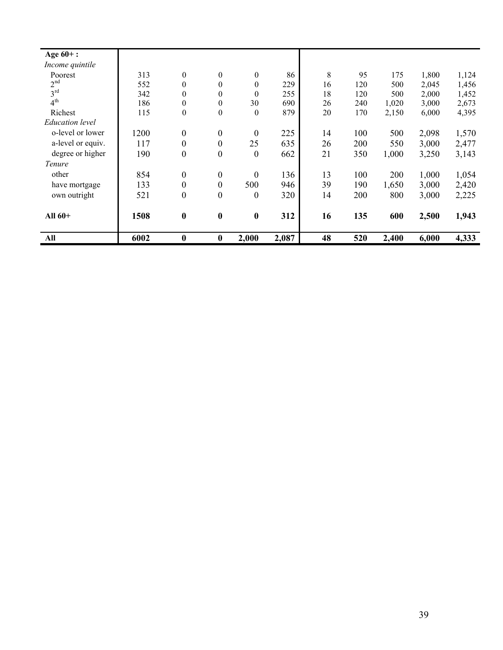| Age $60+$ :            |      |                  |                  |                  |       |    |     |       |       |       |
|------------------------|------|------------------|------------------|------------------|-------|----|-----|-------|-------|-------|
| Income quintile        |      |                  |                  |                  |       |    |     |       |       |       |
| Poorest                | 313  | $\mathbf{0}$     | $\mathbf{0}$     | $\mathbf{0}$     | 86    | 8  | 95  | 175   | 1,800 | 1,124 |
| 2 <sup>nd</sup>        | 552  | $\boldsymbol{0}$ | $\theta$         | $\boldsymbol{0}$ | 229   | 16 | 120 | 500   | 2,045 | 1,456 |
| 3 <sup>rd</sup>        | 342  | $\mathbf{0}$     | $\theta$         | $\theta$         | 255   | 18 | 120 | 500   | 2,000 | 1,452 |
| 4 <sup>th</sup>        | 186  | $\boldsymbol{0}$ | $\theta$         | 30               | 690   | 26 | 240 | 1,020 | 3,000 | 2,673 |
| Richest                | 115  | $\boldsymbol{0}$ | $\theta$         | $\theta$         | 879   | 20 | 170 | 2,150 | 6,000 | 4,395 |
| <b>Education</b> level |      |                  |                  |                  |       |    |     |       |       |       |
| o-level or lower       | 1200 | $\boldsymbol{0}$ | $\boldsymbol{0}$ | $\boldsymbol{0}$ | 225   | 14 | 100 | 500   | 2,098 | 1,570 |
| a-level or equiv.      | 117  | $\boldsymbol{0}$ | $\boldsymbol{0}$ | 25               | 635   | 26 | 200 | 550   | 3,000 | 2,477 |
| degree or higher       | 190  | $\boldsymbol{0}$ | $\overline{0}$   | $\theta$         | 662   | 21 | 350 | 1,000 | 3,250 | 3,143 |
| Tenure                 |      |                  |                  |                  |       |    |     |       |       |       |
| other                  | 854  | $\boldsymbol{0}$ | $\boldsymbol{0}$ | $\boldsymbol{0}$ | 136   | 13 | 100 | 200   | 1,000 | 1,054 |
| have mortgage          | 133  | $\boldsymbol{0}$ | $\boldsymbol{0}$ | 500              | 946   | 39 | 190 | 1,650 | 3,000 | 2,420 |
| own outright           | 521  | $\boldsymbol{0}$ | $\boldsymbol{0}$ | $\boldsymbol{0}$ | 320   | 14 | 200 | 800   | 3,000 | 2,225 |
| All $60+$              | 1508 | $\boldsymbol{0}$ | $\boldsymbol{0}$ | $\boldsymbol{0}$ | 312   | 16 | 135 | 600   | 2,500 | 1,943 |
| All                    | 6002 | $\boldsymbol{0}$ | $\bf{0}$         | 2,000            | 2,087 | 48 | 520 | 2,400 | 6,000 | 4,333 |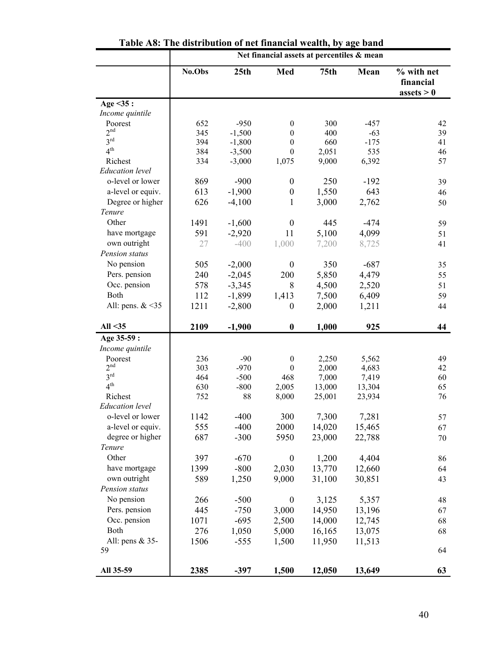|                            |            |                      |                                      | Net financial assets at percentiles & mean |                 |                                                 |
|----------------------------|------------|----------------------|--------------------------------------|--------------------------------------------|-----------------|-------------------------------------------------|
|                            | No.Obs     | 25 <sub>th</sub>     | Med                                  | 75 <sub>th</sub>                           | Mean            | % with net<br>financial<br>$\text{asserts} > 0$ |
| Age $<$ 35:                |            |                      |                                      |                                            |                 |                                                 |
| Income quintile            |            |                      |                                      |                                            |                 |                                                 |
| Poorest<br>2 <sup>nd</sup> | 652        | $-950$               | $\boldsymbol{0}$                     | 300                                        | $-457$          | 42                                              |
| $3^{\text{rd}}$            | 345<br>394 | $-1,500$<br>$-1,800$ | $\boldsymbol{0}$<br>$\boldsymbol{0}$ | 400<br>660                                 | $-63$<br>$-175$ | 39<br>41                                        |
| 4 <sup>th</sup>            | 384        | $-3,500$             | $\boldsymbol{0}$                     | 2,051                                      | 535             | 46                                              |
| Richest                    | 334        | $-3,000$             | 1,075                                | 9,000                                      | 6,392           | 57                                              |
| <b>Education</b> level     |            |                      |                                      |                                            |                 |                                                 |
| o-level or lower           | 869        | $-900$               | $\boldsymbol{0}$                     | 250                                        | $-192$          | 39                                              |
| a-level or equiv.          | 613        | $-1,900$             | $\boldsymbol{0}$                     | 1,550                                      | 643             | 46                                              |
| Degree or higher           | 626        | $-4,100$             | 1                                    | 3,000                                      | 2,762           | 50                                              |
| Tenure                     |            |                      |                                      |                                            |                 |                                                 |
| Other                      | 1491       | $-1,600$             | $\boldsymbol{0}$                     | 445                                        | $-474$          | 59                                              |
| have mortgage              | 591        | $-2,920$             | 11                                   | 5,100                                      | 4,099           | 51                                              |
| own outright               | 27         | $-400$               | 1,000                                | 7,200                                      | 8,725           | 41                                              |
| Pension status             |            |                      |                                      |                                            |                 |                                                 |
| No pension                 | 505        | $-2,000$             | $\boldsymbol{0}$                     | 350                                        | $-687$          | 35                                              |
| Pers. pension              | 240        | $-2,045$             | 200                                  | 5,850                                      | 4,479           | 55                                              |
| Occ. pension               | 578        | $-3,345$             | 8                                    | 4,500                                      | 2,520           | 51                                              |
| Both                       | 112        | $-1,899$             | 1,413                                | 7,500                                      | 6,409           | 59                                              |
| All: pens. $<35$           | 1211       | $-2,800$             | $\boldsymbol{0}$                     | 2,000                                      | 1,211           | 44                                              |
|                            |            |                      |                                      |                                            |                 |                                                 |
| All $35$                   | 2109       | $-1,900$             | $\boldsymbol{0}$                     | 1,000                                      | 925             | 44                                              |
| Age 35-59 :                |            |                      |                                      |                                            |                 |                                                 |
| Income quintile            |            |                      |                                      |                                            |                 |                                                 |
| Poorest                    | 236        | $-90$                | $\boldsymbol{0}$                     | 2,250                                      | 5,562           | 49                                              |
| 2 <sup>nd</sup>            | 303        | $-970$               | $\boldsymbol{0}$                     | 2,000                                      | 4,683           | 42                                              |
| 3 <sup>rd</sup>            | 464        | $-500$               | 468                                  | 7,000                                      | 7,419           | 60                                              |
| 4 <sup>th</sup>            | 630        | $-800$               | 2,005                                | 13,000                                     | 13,304          | 65                                              |
| Richest                    | 752        | 88                   | 8,000                                | 25,001                                     | 23,934          | 76                                              |
| <b>Education</b> level     |            |                      |                                      |                                            |                 |                                                 |
| o-level or lower           | 1142       | $-400$               | 300                                  | 7,300                                      | 7,281           | 57                                              |
| a-level or equiv.          | 555        | $-400$               | 2000                                 | 14,020                                     | 15,465          | 67                                              |
| degree or higher           | 687        | $-300$               | 5950                                 | 23,000                                     | 22,788          | 70                                              |
| Tenure                     |            |                      |                                      |                                            |                 |                                                 |
| Other                      | 397        | $-670$               | $\boldsymbol{0}$                     | 1,200                                      | 4,404           | 86                                              |
| have mortgage              | 1399       | $-800$               | 2,030                                | 13,770                                     | 12,660          | 64                                              |
| own outright               | 589        | 1,250                | 9,000                                | 31,100                                     | 30,851          | 43                                              |
| Pension status             |            |                      |                                      |                                            |                 |                                                 |
| No pension                 | 266        | $-500$               | $\boldsymbol{0}$                     | 3,125                                      | 5,357           | 48                                              |
| Pers. pension              | 445        | $-750$               | 3,000                                | 14,950                                     | 13,196          | 67                                              |
| Occ. pension               | 1071       | $-695$               | 2,500                                | 14,000                                     | 12,745          | 68                                              |
| Both                       | 276        | 1,050                | 5,000                                | 16,165                                     | 13,075          | 68                                              |
| All: pens & 35-            | 1506       | $-555$               | 1,500                                | 11,950                                     | 11,513          |                                                 |
| 59                         |            |                      |                                      |                                            |                 | 64                                              |
| All 35-59                  | 2385       | $-397$               | 1,500                                | 12,050                                     | 13,649          | 63                                              |

|  |  |  |  |  |  | Table A8: The distribution of net financial wealth, by age band |  |  |  |
|--|--|--|--|--|--|-----------------------------------------------------------------|--|--|--|
|--|--|--|--|--|--|-----------------------------------------------------------------|--|--|--|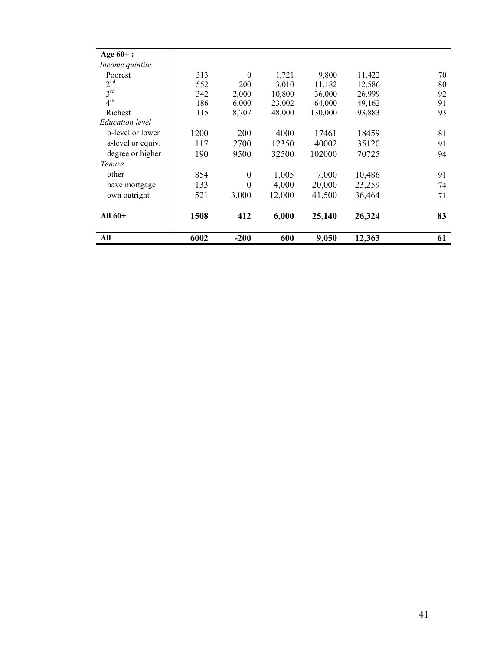| Age $60+$ :            |      |                  |        |         |        |    |
|------------------------|------|------------------|--------|---------|--------|----|
| Income quintile        |      |                  |        |         |        |    |
| Poorest                | 313  | $\theta$         | 1,721  | 9,800   | 11,422 | 70 |
| 2 <sup>nd</sup>        | 552  | 200              | 3,010  | 11,182  | 12,586 | 80 |
| 3 <sup>rd</sup>        | 342  | 2,000            | 10,800 | 36,000  | 26,999 | 92 |
| 4 <sup>th</sup>        | 186  | 6,000            | 23,002 | 64,000  | 49,162 | 91 |
| Richest                | 115  | 8,707            | 48,000 | 130,000 | 93,883 | 93 |
| <i>Education level</i> |      |                  |        |         |        |    |
| o-level or lower       | 1200 | 200              | 4000   | 17461   | 18459  | 81 |
| a-level or equiv.      | 117  | 2700             | 12350  | 40002   | 35120  | 91 |
| degree or higher       | 190  | 9500             | 32500  | 102000  | 70725  | 94 |
| <i>Tenure</i>          |      |                  |        |         |        |    |
| other                  | 854  | $\boldsymbol{0}$ | 1,005  | 7,000   | 10,486 | 91 |
| have mortgage          | 133  | $\theta$         | 4,000  | 20,000  | 23,259 | 74 |
| own outright           | 521  | 3,000            | 12,000 | 41,500  | 36,464 | 71 |
| All $60+$              | 1508 | 412              | 6,000  | 25,140  | 26,324 | 83 |
| All                    | 6002 | $-200$           | 600    | 9,050   | 12,363 | 61 |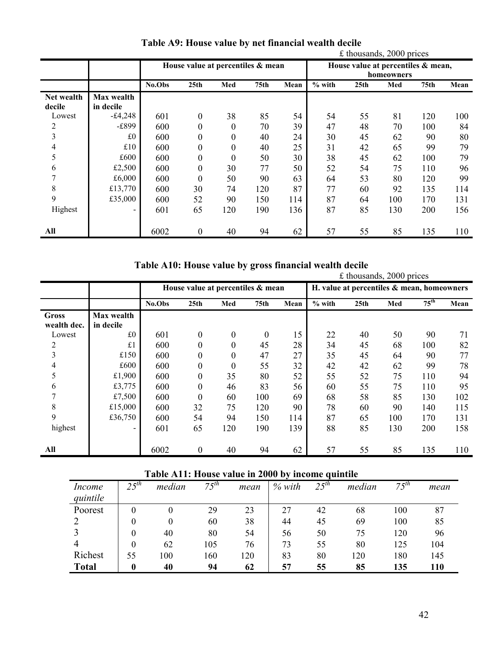|            |                | $£$ thousands, 2000 prices |                                   |              |                  |      |                                                  |                  |     |      |      |
|------------|----------------|----------------------------|-----------------------------------|--------------|------------------|------|--------------------------------------------------|------------------|-----|------|------|
|            |                |                            | House value at percentiles & mean |              |                  |      | House value at percentiles & mean,<br>homeowners |                  |     |      |      |
|            |                | No.Obs                     | 25 <sub>th</sub>                  | Med          | 75 <sub>th</sub> | Mean | $%$ with                                         | 25 <sub>th</sub> | Med | 75th | Mean |
| Net wealth | Max wealth     |                            |                                   |              |                  |      |                                                  |                  |     |      |      |
| decile     | in decile      |                            |                                   |              |                  |      |                                                  |                  |     |      |      |
| Lowest     | $-£4,248$      | 601                        | $\boldsymbol{0}$                  | 38           | 85               | 54   | 54                                               | 55               | 81  | 120  | 100  |
| 2          | -£899          | 600                        | 0                                 | $\theta$     | 70               | 39   | 47                                               | 48               | 70  | 100  | 84   |
| 3          | £0             | 600                        | 0                                 | 0            | 40               | 24   | 30                                               | 45               | 62  | 90   | 80   |
| 4          | £10            | 600                        | 0                                 | 0            | 40               | 25   | 31                                               | 42               | 65  | 99   | 79   |
| 5          | £600           | 600                        | $\Omega$                          | $\mathbf{0}$ | 50               | 30   | 38                                               | 45               | 62  | 100  | 79   |
| 6          | £2,500         | 600                        | $\theta$                          | 30           | 77               | 50   | 52                                               | 54               | 75  | 110  | 96   |
| 7          | £6,000         | 600                        | $\theta$                          | 50           | 90               | 63   | 64                                               | 53               | 80  | 120  | 99   |
| 8          | £13,770        | 600                        | 30                                | 74           | 120              | 87   | 77                                               | 60               | 92  | 135  | 114  |
| 9          | £35,000        | 600                        | 52                                | 90           | 150              | 114  | 87                                               | 64               | 100 | 170  | 131  |
| Highest    | $\blacksquare$ | 601                        | 65                                | 120          | 190              | 136  | 87                                               | 85               | 130 | 200  | 156  |
|            |                |                            |                                   |              |                  |      |                                                  |                  |     |      |      |
| All        |                | 6002                       | $\boldsymbol{0}$                  | 40           | 94               | 62   | 57                                               | 55               | 85  | 135  | 110  |

**Table A9: House value by net financial wealth decile** 

| Table A10: House value by gross financial wealth decile |  |  |  |  |  |  |  |  |  |
|---------------------------------------------------------|--|--|--|--|--|--|--|--|--|
|---------------------------------------------------------|--|--|--|--|--|--|--|--|--|

|             |                          | Tuble Tribe House value by gross infuncion wealth acche<br>£ thousands, 2000 prices |                  |          |          |      |          |                                               |     |                  |      |
|-------------|--------------------------|-------------------------------------------------------------------------------------|------------------|----------|----------|------|----------|-----------------------------------------------|-----|------------------|------|
|             |                          | House value at percentiles & mean                                                   |                  |          |          |      |          | H. value at percentiles $\&$ mean, homeowners |     |                  |      |
|             |                          | No.Obs                                                                              | 25 <sub>th</sub> | Med      | 75th     | Mean | $%$ with | 25 <sub>th</sub>                              | Med | $75^{\text{th}}$ | Mean |
| Gross       | Max wealth               |                                                                                     |                  |          |          |      |          |                                               |     |                  |      |
| wealth dec. | in decile                |                                                                                     |                  |          |          |      |          |                                               |     |                  |      |
| Lowest      | £0                       | 601                                                                                 | $\mathbf{0}$     | $\theta$ | $\theta$ | 15   | 22       | 40                                            | 50  | 90               | 71   |
| 2           | £1                       | 600                                                                                 | 0                | $\theta$ | 45       | 28   | 34       | 45                                            | 68  | 100              | 82   |
| 3           | £150                     | 600                                                                                 | 0                | 0        | 47       | 27   | 35       | 45                                            | 64  | 90               | 77   |
| 4           | £600                     | 600                                                                                 | 0                | $\theta$ | 55       | 32   | 42       | 42                                            | 62  | 99               | 78   |
| 5           | £1,900                   | 600                                                                                 | 0                | 35       | 80       | 52   | 55       | 52                                            | 75  | 110              | 94   |
| 6           | £3,775                   | 600                                                                                 | 0                | 46       | 83       | 56   | 60       | 55                                            | 75  | 110              | 95   |
| 7           | £7,500                   | 600                                                                                 | 0                | 60       | 100      | 69   | 68       | 58                                            | 85  | 130              | 102  |
| 8           | £15,000                  | 600                                                                                 | 32               | 75       | 120      | 90   | 78       | 60                                            | 90  | 140              | 115  |
| 9           | £36,750                  | 600                                                                                 | 54               | 94       | 150      | 114  | 87       | 65                                            | 100 | 170              | 131  |
| highest     | $\overline{\phantom{0}}$ | 601                                                                                 | 65               | 120      | 190      | 139  | 88       | 85                                            | 130 | 200              | 158  |
|             |                          |                                                                                     |                  |          |          |      |          |                                               |     |                  |      |
| All         |                          | 6002                                                                                | $\boldsymbol{0}$ | 40       | 94       | 62   | 57       | 55                                            | 85  | 135              | 110  |

| Table A11: House value in 2000 by income quintile |           |          |           |      |          |           |        |           |            |
|---------------------------------------------------|-----------|----------|-----------|------|----------|-----------|--------|-----------|------------|
| Income                                            | $25^{th}$ | median   | $75^{th}$ | mean | $%$ with | $25^{th}$ | median | $75^{th}$ | mean       |
| quintile                                          |           |          |           |      |          |           |        |           |            |
| Poorest                                           | $\Omega$  |          | 29        | 23   | 27       | 42        | 68     | 100       | 87         |
|                                                   | $\theta$  | $\theta$ | 60        | 38   | 44       | 45        | 69     | 100       | 85         |
|                                                   | $\theta$  | 40       | 80        | 54   | 56       | 50        | 75     | 120       | 96         |
|                                                   | $\theta$  | 62       | 105       | 76   | 73       | 55        | 80     | 125       | 104        |
| Richest                                           | 55        | 100      | 160       | 120  | 83       | 80        | 120    | 180       | 145        |
| <b>Total</b>                                      | 0         | 40       | 94        | 62   | 57       | 55        | 85     | 135       | <b>110</b> |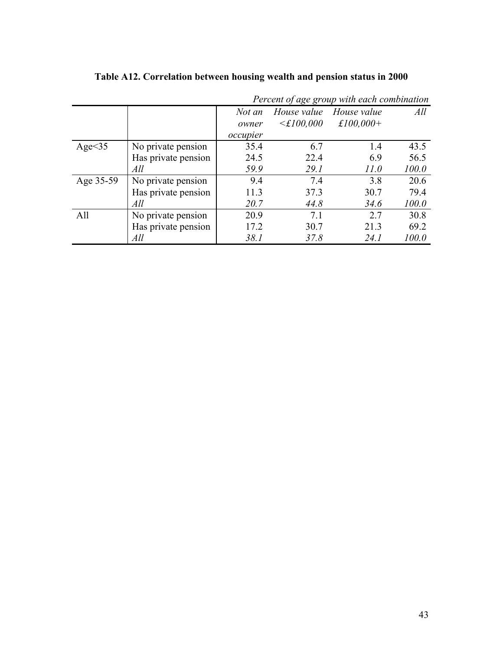|               |                     |          |                        | Percent of age group with each combination |       |
|---------------|---------------------|----------|------------------------|--------------------------------------------|-------|
|               |                     | Not an   | House value            | House value                                | All   |
|               |                     | owner    | $\leq \pounds 100,000$ | £100,000+                                  |       |
|               |                     | occupier |                        |                                            |       |
| Age $\leq$ 35 | No private pension  | 35.4     | 6.7                    | 1.4                                        | 43.5  |
|               | Has private pension | 24.5     | 22.4                   | 6.9                                        | 56.5  |
|               | All                 | 59.9     | 29.1                   | 11.0                                       | 100.0 |
| Age 35-59     | No private pension  | 9.4      | 7.4                    | 3.8                                        | 20.6  |
|               | Has private pension | 11.3     | 37.3                   | 30.7                                       | 79.4  |
|               | All                 | 20.7     | 44.8                   | 34.6                                       | 100.0 |
| All           | No private pension  | 20.9     | 7.1                    | 27                                         | 30.8  |
|               | Has private pension | 17.2     | 30.7                   | 21.3                                       | 69.2  |
|               | All                 | 38.1     | 37.8                   | 24. I                                      | 100.0 |

**Table A12. Correlation between housing wealth and pension status in 2000**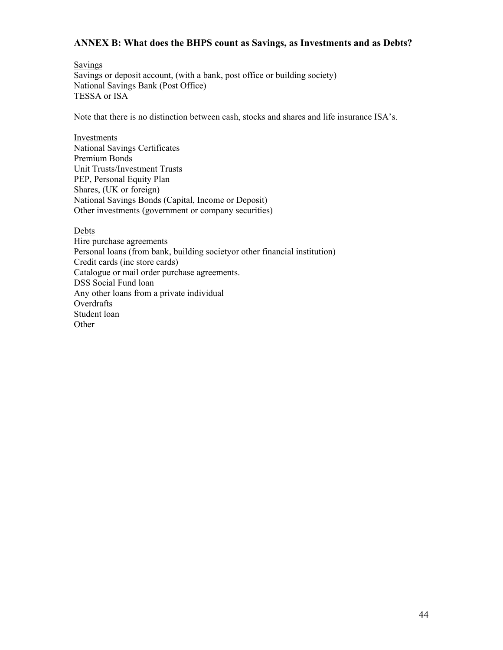## **ANNEX B: What does the BHPS count as Savings, as Investments and as Debts?**

Savings Savings or deposit account, (with a bank, post office or building society) National Savings Bank (Post Office) TESSA or ISA

Note that there is no distinction between cash, stocks and shares and life insurance ISA's.

Investments National Savings Certificates Premium Bonds Unit Trusts/Investment Trusts PEP, Personal Equity Plan Shares, (UK or foreign) National Savings Bonds (Capital, Income or Deposit) Other investments (government or company securities)

Debts

Hire purchase agreements Personal loans (from bank, building societyor other financial institution) Credit cards (inc store cards) Catalogue or mail order purchase agreements. DSS Social Fund loan Any other loans from a private individual **Overdrafts** Student loan **Other**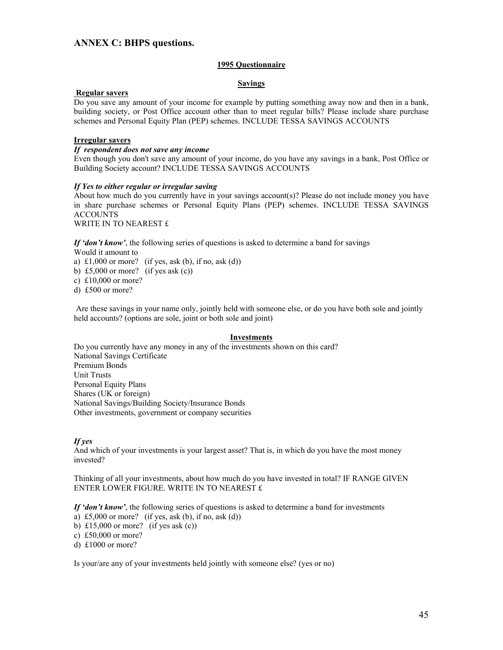#### **ANNEX C: BHPS questions.**

#### **1995 Questionnaire**

#### **Savings**

#### **Regular savers**

Do you save any amount of your income for example by putting something away now and then in a bank, building society, or Post Office account other than to meet regular bills? Please include share purchase schemes and Personal Equity Plan (PEP) schemes. INCLUDE TESSA SAVINGS ACCOUNTS

#### **Irregular savers**

#### *If respondent does not save any income*

Even though you don't save any amount of your income, do you have any savings in a bank, Post Office or Building Society account? INCLUDE TESSA SAVINGS ACCOUNTS

#### *If Yes to either regular or irregular saving*

About how much do you currently have in your savings account(s)? Please do not include money you have in share purchase schemes or Personal Equity Plans (PEP) schemes. INCLUDE TESSA SAVINGS ACCOUNTS

WRITE IN TO NEAREST £

*If 'don't know'*, the following series of questions is asked to determine a band for savings

Would it amount to

a)  $\pounds1,000$  or more? (if yes, ask (b), if no, ask (d))

- b) £5,000 or more? (if yes ask  $(c)$ )
- c) £10,000 or more?
- d) £500 or more?

 Are these savings in your name only, jointly held with someone else, or do you have both sole and jointly held accounts? (options are sole, joint or both sole and joint)

#### **Investments**

Do you currently have any money in any of the investments shown on this card? National Savings Certificate Premium Bonds Unit Trusts Personal Equity Plans Shares (UK or foreign) National Savings/Building Society/Insurance Bonds Other investments, government or company securities

#### *If yes*

And which of your investments is your largest asset? That is, in which do you have the most money invested?

Thinking of all your investments, about how much do you have invested in total? IF RANGE GIVEN ENTER LOWER FIGURE. WRITE IN TO NEAREST £

*If 'don't know'*, the following series of questions is asked to determine a band for investments

- a) £5,000 or more? (if yes, ask (b), if no, ask (d))
- b) £15,000 or more? (if yes ask  $(c)$ )
- c) £50,000 or more?
- d) £1000 or more?

Is your/are any of your investments held jointly with someone else? (yes or no)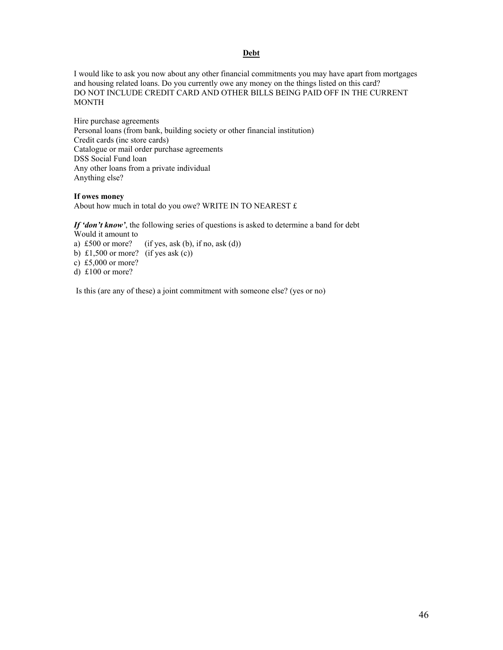#### **Debt**

I would like to ask you now about any other financial commitments you may have apart from mortgages and housing related loans. Do you currently owe any money on the things listed on this card? DO NOT INCLUDE CREDIT CARD AND OTHER BILLS BEING PAID OFF IN THE CURRENT **MONTH** 

Hire purchase agreements Personal loans (from bank, building society or other financial institution) Credit cards (inc store cards) Catalogue or mail order purchase agreements DSS Social Fund loan Any other loans from a private individual Anything else?

#### **If owes money**

About how much in total do you owe? WRITE IN TO NEAREST £

*If 'don't know'*, the following series of questions is asked to determine a band for debt Would it amount to<br>a) £500 or more?  $(if yes, ask (b), if no, ask (d))$ b) £1,500 or more? (if yes ask  $(c)$ )

c) £5,000 or more?

d) £100 or more?

Is this (are any of these) a joint commitment with someone else? (yes or no)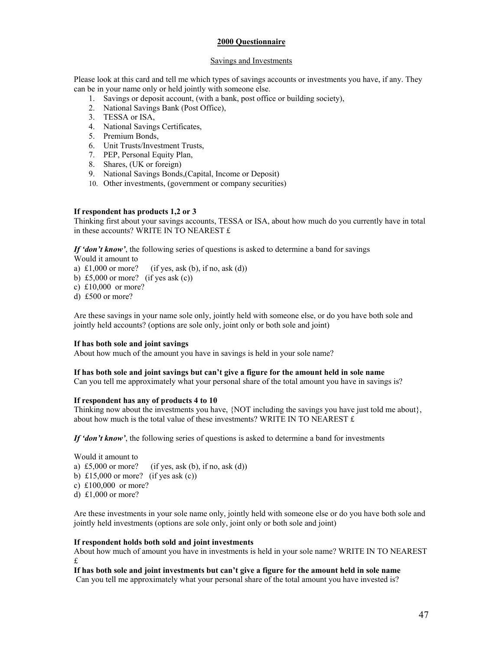#### **2000 Questionnaire**

#### Savings and Investments

Please look at this card and tell me which types of savings accounts or investments you have, if any. They can be in your name only or held jointly with someone else.

- 1. Savings or deposit account, (with a bank, post office or building society),
- 2. National Savings Bank (Post Office),
- 3. TESSA or ISA,
- 4. National Savings Certificates,
- 5. Premium Bonds,
- 6. Unit Trusts/Investment Trusts,
- 7. PEP, Personal Equity Plan,
- 8. Shares, (UK or foreign)
- 9. National Savings Bonds,(Capital, Income or Deposit)
- 10. Other investments, (government or company securities)

#### **If respondent has products 1,2 or 3**

Thinking first about your savings accounts, TESSA or ISA, about how much do you currently have in total in these accounts? WRITE IN TO NEAREST £

*If 'don't know'*, the following series of questions is asked to determine a band for savings

Would it amount to

- a)  $\text{\pounds}1,000$  or more? (if yes, ask (b), if no, ask (d))
- b) £5,000 or more? (if yes ask  $(c)$ )
- c) £10,000 or more?
- d) £500 or more?

Are these savings in your name sole only, jointly held with someone else, or do you have both sole and jointly held accounts? (options are sole only, joint only or both sole and joint)

#### **If has both sole and joint savings**

About how much of the amount you have in savings is held in your sole name?

#### **If has both sole and joint savings but can't give a figure for the amount held in sole name**

Can you tell me approximately what your personal share of the total amount you have in savings is?

#### **If respondent has any of products 4 to 10**

Thinking now about the investments you have, {NOT including the savings you have just told me about}, about how much is the total value of these investments? WRITE IN TO NEAREST  $f$ .

*If 'don't know'*, the following series of questions is asked to determine a band for investments

Would it amount to a) £5,000 or more? (if yes, ask (b), if no, ask (d)) b) £15,000 or more? (if yes ask  $(c)$ ) c) £100,000 or more? d) £1,000 or more?

Are these investments in your sole name only, jointly held with someone else or do you have both sole and jointly held investments (options are sole only, joint only or both sole and joint)

#### **If respondent holds both sold and joint investments**

About how much of amount you have in investments is held in your sole name? WRITE IN TO NEAREST £

**If has both sole and joint investments but can't give a figure for the amount held in sole name** Can you tell me approximately what your personal share of the total amount you have invested is?